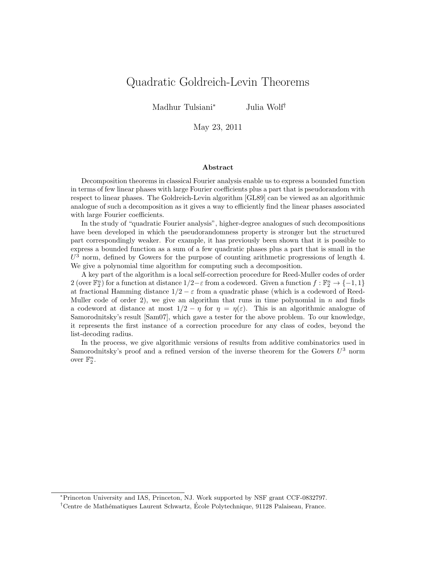# Quadratic Goldreich-Levin Theorems

Madhur Tulsiani<sup>∗</sup> Julia Wolf†

May 23, 2011

### Abstract

Decomposition theorems in classical Fourier analysis enable us to express a bounded function in terms of few linear phases with large Fourier coefficients plus a part that is pseudorandom with respect to linear phases. The Goldreich-Levin algorithm [GL89] can be viewed as an algorithmic analogue of such a decomposition as it gives a way to efficiently find the linear phases associated with large Fourier coefficients.

In the study of "quadratic Fourier analysis", higher-degree analogues of such decompositions have been developed in which the pseudorandomness property is stronger but the structured part correspondingly weaker. For example, it has previously been shown that it is possible to express a bounded function as a sum of a few quadratic phases plus a part that is small in the  $U^3$  norm, defined by Gowers for the purpose of counting arithmetic progressions of length 4. We give a polynomial time algorithm for computing such a decomposition.

A key part of the algorithm is a local self-correction procedure for Reed-Muller codes of order 2 (over  $\mathbb{F}_2^n$ ) for a function at distance  $1/2-\varepsilon$  from a codeword. Given a function  $f: \mathbb{F}_2^n \to \{-1,1\}$ at fractional Hamming distance  $1/2 - \varepsilon$  from a quadratic phase (which is a codeword of Reed-Muller code of order 2), we give an algorithm that runs in time polynomial in  $n$  and finds a codeword at distance at most  $1/2 - \eta$  for  $\eta = \eta(\varepsilon)$ . This is an algorithmic analogue of Samorodnitsky's result [Sam07], which gave a tester for the above problem. To our knowledge, it represents the first instance of a correction procedure for any class of codes, beyond the list-decoding radius.

In the process, we give algorithmic versions of results from additive combinatorics used in Samorodnitsky's proof and a refined version of the inverse theorem for the Gowers  $U^3$  norm over  $\mathbb{F}_2^n$ .

<sup>∗</sup>Princeton University and IAS, Princeton, NJ. Work supported by NSF grant CCF-0832797.

<sup>&</sup>lt;sup>†</sup>Centre de Mathématiques Laurent Schwartz, École Polytechnique, 91128 Palaiseau, France.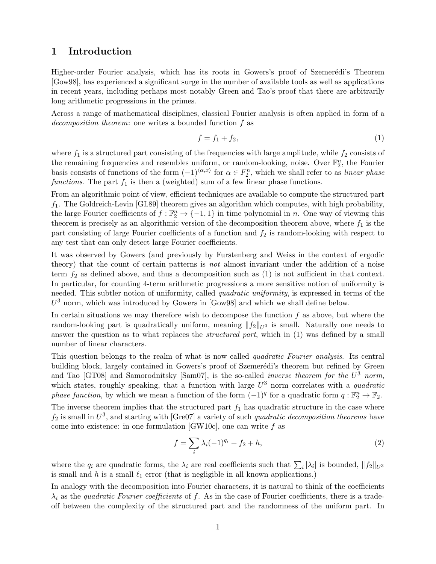# 1 Introduction

Higher-order Fourier analysis, which has its roots in Gowers's proof of Szemerédi's Theorem [Gow98], has experienced a significant surge in the number of available tools as well as applications in recent years, including perhaps most notably Green and Tao's proof that there are arbitrarily long arithmetic progressions in the primes.

Across a range of mathematical disciplines, classical Fourier analysis is often applied in form of a decomposition theorem: one writes a bounded function f as

$$
f = f_1 + f_2,\tag{1}
$$

where  $f_1$  is a structured part consisting of the frequencies with large amplitude, while  $f_2$  consists of the remaining frequencies and resembles uniform, or random-looking, noise. Over  $\mathbb{F}_2^n$ , the Fourier basis consists of functions of the form  $(-1)^{\langle \alpha, x \rangle}$  for  $\alpha \in F_2^n$ , which we shall refer to as *linear phase* functions. The part  $f_1$  is then a (weighted) sum of a few linear phase functions.

From an algorithmic point of view, efficient techniques are available to compute the structured part  $f_1$ . The Goldreich-Levin [GL89] theorem gives an algorithm which computes, with high probability, the large Fourier coefficients of  $f : \mathbb{F}_2^n \to \{-1,1\}$  in time polynomial in n. One way of viewing this theorem is precisely as an algorithmic version of the decomposition theorem above, where  $f_1$  is the part consisting of large Fourier coefficients of a function and  $f_2$  is random-looking with respect to any test that can only detect large Fourier coefficients.

It was observed by Gowers (and previously by Furstenberg and Weiss in the context of ergodic theory) that the count of certain patterns is not almost invariant under the addition of a noise term  $f_2$  as defined above, and thus a decomposition such as (1) is not sufficient in that context. In particular, for counting 4-term arithmetic progressions a more sensitive notion of uniformity is needed. This subtler notion of uniformity, called *quadratic uniformity*, is expressed in terms of the  $U^3$  norm, which was introduced by Gowers in [Gow98] and which we shall define below.

In certain situations we may therefore wish to decompose the function  $f$  as above, but where the random-looking part is quadratically uniform, meaning  $||f_2||_{U^3}$  is small. Naturally one needs to answer the question as to what replaces the *structured part*, which in (1) was defined by a small number of linear characters.

This question belongs to the realm of what is now called quadratic Fourier analysis. Its central building block, largely contained in Gowers's proof of Szemerédi's theorem but refined by Green and Tao [GT08] and Samorodnitsky [Sam07], is the so-called *inverse theorem for the*  $U^3$  norm, which states, roughly speaking, that a function with large  $U^3$  norm correlates with a quadratic *phase function*, by which we mean a function of the form  $(-1)^q$  for a quadratic form  $q : \mathbb{F}_2^n \to \mathbb{F}_2$ .

The inverse theorem implies that the structured part  $f_1$  has quadratic structure in the case where  $f_2$  is small in  $U^3$ , and starting with [Gre07] a variety of such *quadratic decomposition theorems* have come into existence: in one formulation [GW10c], one can write  $f$  as

$$
f = \sum_{i} \lambda_i (-1)^{q_i} + f_2 + h,\tag{2}
$$

where the  $q_i$  are quadratic forms, the  $\lambda_i$  are real coefficients such that  $\sum_i |\lambda_i|$  is bounded,  $||f_2||_{U^3}$ is small and h is a small  $\ell_1$  error (that is negligible in all known applications.)

In analogy with the decomposition into Fourier characters, it is natural to think of the coefficients  $\lambda_i$  as the quadratic Fourier coefficients of f. As in the case of Fourier coefficients, there is a tradeoff between the complexity of the structured part and the randomness of the uniform part. In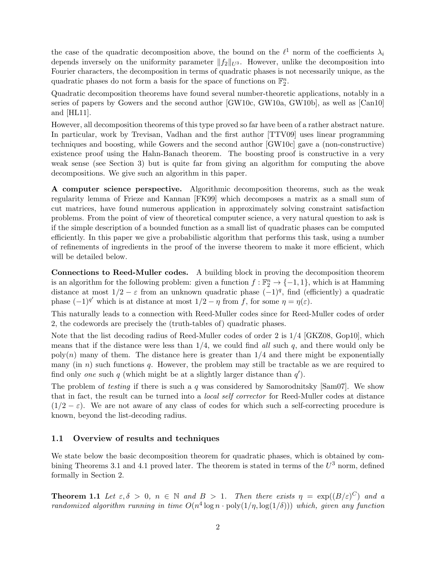the case of the quadratic decomposition above, the bound on the  $\ell^1$  norm of the coefficients  $\lambda_i$ depends inversely on the uniformity parameter  $||f_2||_{U^3}$ . However, unlike the decomposition into Fourier characters, the decomposition in terms of quadratic phases is not necessarily unique, as the quadratic phases do not form a basis for the space of functions on  $\mathbb{F}_2^n$ .

Quadratic decomposition theorems have found several number-theoretic applications, notably in a series of papers by Gowers and the second author [GW10c, GW10a, GW10b], as well as [Can10] and [HL11].

However, all decomposition theorems of this type proved so far have been of a rather abstract nature. In particular, work by Trevisan, Vadhan and the first author [TTV09] uses linear programming techniques and boosting, while Gowers and the second author [GW10c] gave a (non-constructive) existence proof using the Hahn-Banach theorem. The boosting proof is constructive in a very weak sense (see Section 3) but is quite far from giving an algorithm for computing the above decompositions. We give such an algorithm in this paper.

A computer science perspective. Algorithmic decomposition theorems, such as the weak regularity lemma of Frieze and Kannan [FK99] which decomposes a matrix as a small sum of cut matrices, have found numerous application in approximately solving constraint satisfaction problems. From the point of view of theoretical computer science, a very natural question to ask is if the simple description of a bounded function as a small list of quadratic phases can be computed efficiently. In this paper we give a probabilistic algorithm that performs this task, using a number of refinements of ingredients in the proof of the inverse theorem to make it more efficient, which will be detailed below.

Connections to Reed-Muller codes. A building block in proving the decomposition theorem is an algorithm for the following problem: given a function  $f : \mathbb{F}_2^n \to \{-1,1\}$ , which is at Hamming distance at most  $1/2 - \varepsilon$  from an unknown quadratic phase  $(-1)^q$ , find (efficiently) a quadratic phase  $(-1)^{q'}$  which is at distance at most  $1/2 - \eta$  from f, for some  $\eta = \eta(\varepsilon)$ .

This naturally leads to a connection with Reed-Muller codes since for Reed-Muller codes of order 2, the codewords are precisely the (truth-tables of) quadratic phases.

Note that the list decoding radius of Reed-Muller codes of order 2 is 1/4 [GKZ08, Gop10], which means that if the distance were less than  $1/4$ , we could find all such q, and there would only be  $\text{poly}(n)$  many of them. The distance here is greater than  $1/4$  and there might be exponentially many (in n) such functions q. However, the problem may still be tractable as we are required to find only one such  $q$  (which might be at a slightly larger distance than  $q'$ ).

The problem of testing if there is such a q was considered by Samorodnitsky [Sam07]. We show that in fact, the result can be turned into a local self corrector for Reed-Muller codes at distance  $(1/2 - \varepsilon)$ . We are not aware of any class of codes for which such a self-correcting procedure is known, beyond the list-decoding radius.

### 1.1 Overview of results and techniques

We state below the basic decomposition theorem for quadratic phases, which is obtained by combining Theorems 3.1 and 4.1 proved later. The theorem is stated in terms of the  $U^3$  norm, defined formally in Section 2.

**Theorem 1.1** Let  $\varepsilon, \delta > 0$ ,  $n \in \mathbb{N}$  and  $B > 1$ . Then there exists  $\eta = \exp((B/\varepsilon)^C)$  and a randomized algorithm running in time  $O(n^4 \log n \cdot \text{poly}(1/\eta, \log(1/\delta)))$  which, given any function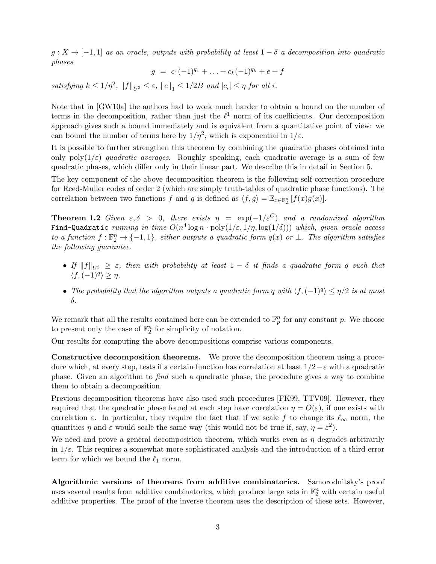$g: X \to [-1,1]$  as an oracle, outputs with probability at least  $1-\delta$  a decomposition into quadratic phases

$$
g = c_1(-1)^{q_1} + \ldots + c_k(-1)^{q_k} + e + f
$$

satisfying  $k \leq 1/\eta^2$ ,  $||f||_{U^3} \leq \varepsilon$ ,  $||e||_1 \leq 1/2B$  and  $|c_i| \leq \eta$  for all i.

Note that in [GW10a] the authors had to work much harder to obtain a bound on the number of terms in the decomposition, rather than just the  $\ell^1$  norm of its coefficients. Our decomposition approach gives such a bound immediately and is equivalent from a quantitative point of view: we can bound the number of terms here by  $1/\eta^2$ , which is exponential in  $1/\varepsilon$ .

It is possible to further strengthen this theorem by combining the quadratic phases obtained into only  $poly(1/\varepsilon)$  quadratic averages. Roughly speaking, each quadratic average is a sum of few quadratic phases, which differ only in their linear part. We describe this in detail in Section 5.

The key component of the above decomposition theorem is the following self-correction procedure for Reed-Muller codes of order 2 (which are simply truth-tables of quadratic phase functions). The correlation between two functions f and g is defined as  $\langle f, g \rangle = \mathbb{E}_{x \in \mathbb{F}_2^n} [f(x)g(x)].$ 

**Theorem 1.2** Given  $\varepsilon, \delta > 0$ , there exists  $\eta = \exp(-1/\varepsilon^C)$  and a randomized algorithm Find-Quadratic  $running$  in time  $O(n^4\log n\cdot \text{poly}(1/\varepsilon,1/\eta,\log(1/\delta)))$  which, given oracle access to a function  $f: \mathbb{F}_2^n \to \{-1,1\}$ , either outputs a quadratic form  $q(x)$  or  $\bot$ . The algorithm satisfies the following guarantee.

- If  $||f||_{U^3} \geq \varepsilon$ , then with probability at least  $1 \delta$  it finds a quadratic form q such that  $\langle f, (-1)^q \rangle \geq \eta.$
- The probability that the algorithm outputs a quadratic form q with  $\langle f, (-1)^q \rangle \leq \eta/2$  is at most δ.

We remark that all the results contained here can be extended to  $\mathbb{F}_p^n$  for any constant p. We choose to present only the case of  $\mathbb{F}_2^n$  for simplicity of notation.

Our results for computing the above decompositions comprise various components.

Constructive decomposition theorems. We prove the decomposition theorem using a procedure which, at every step, tests if a certain function has correlation at least  $1/2 - \varepsilon$  with a quadratic phase. Given an algorithm to find such a quadratic phase, the procedure gives a way to combine them to obtain a decomposition.

Previous decomposition theorems have also used such procedures [FK99, TTV09]. However, they required that the quadratic phase found at each step have correlation  $\eta = O(\varepsilon)$ , if one exists with correlation  $\varepsilon$ . In particular, they require the fact that if we scale f to change its  $\ell_{\infty}$  norm, the quantities  $\eta$  and  $\varepsilon$  would scale the same way (this would not be true if, say,  $\eta = \varepsilon^2$ ).

We need and prove a general decomposition theorem, which works even as  $\eta$  degrades arbitrarily in  $1/\varepsilon$ . This requires a somewhat more sophisticated analysis and the introduction of a third error term for which we bound the  $\ell_1$  norm.

Algorithmic versions of theorems from additive combinatorics. Samorodnitsky's proof uses several results from additive combinatorics, which produce large sets in  $\mathbb{F}_2^n$  with certain useful additive properties. The proof of the inverse theorem uses the description of these sets. However,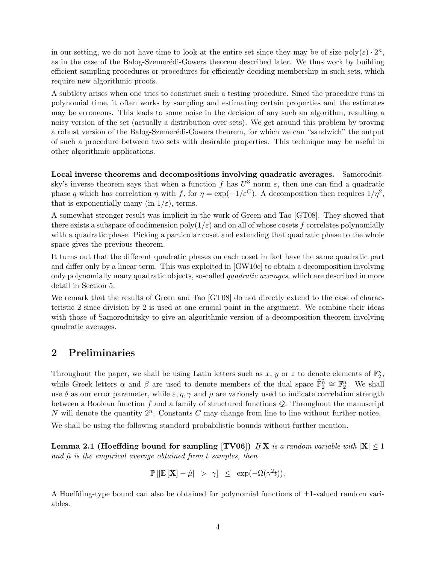in our setting, we do not have time to look at the entire set since they may be of size  $\text{poly}(\varepsilon) \cdot 2^n$ , as in the case of the Balog-Szemerédi-Gowers theorem described later. We thus work by building efficient sampling procedures or procedures for efficiently deciding membership in such sets, which require new algorithmic proofs.

A subtlety arises when one tries to construct such a testing procedure. Since the procedure runs in polynomial time, it often works by sampling and estimating certain properties and the estimates may be erroneous. This leads to some noise in the decision of any such an algorithm, resulting a noisy version of the set (actually a distribution over sets). We get around this problem by proving a robust version of the Balog-Szemerédi-Gowers theorem, for which we can "sandwich" the output of such a procedure between two sets with desirable properties. This technique may be useful in other algorithmic applications.

Local inverse theorems and decompositions involving quadratic averages. Samorodnitsky's inverse theorem says that when a function f has  $U^3$  norm  $\varepsilon$ , then one can find a quadratic phase q which has correlation  $\eta$  with f, for  $\eta = \exp(-1/\varepsilon^C)$ . A decomposition then requires  $1/\eta^2$ , that is exponentially many (in  $1/\varepsilon$ ), terms.

A somewhat stronger result was implicit in the work of Green and Tao [GT08]. They showed that there exists a subspace of codimension  $\text{poly}(1/\varepsilon)$  and on all of whose cosets f correlates polynomially with a quadratic phase. Picking a particular coset and extending that quadratic phase to the whole space gives the previous theorem.

It turns out that the different quadratic phases on each coset in fact have the same quadratic part and differ only by a linear term. This was exploited in [GW10c] to obtain a decomposition involving only polynomially many quadratic objects, so-called quadratic averages, which are described in more detail in Section 5.

We remark that the results of Green and Tao [GT08] do not directly extend to the case of characteristic 2 since division by 2 is used at one crucial point in the argument. We combine their ideas with those of Samorodnitsky to give an algorithmic version of a decomposition theorem involving quadratic averages.

# 2 Preliminaries

Throughout the paper, we shall be using Latin letters such as x, y or z to denote elements of  $\mathbb{F}_2^n$ , while Greek letters  $\alpha$  and  $\beta$  are used to denote members of the dual space  $\widehat{\mathbb{F}_2^n} \cong \mathbb{F}_2^n$ . We shall use  $\delta$  as our error parameter, while  $\varepsilon$ ,  $\eta$ ,  $\gamma$  and  $\rho$  are variously used to indicate correlation strength between a Boolean function f and a family of structured functions  $Q$ . Throughout the manuscript N will denote the quantity  $2^n$ . Constants C may change from line to line without further notice. We shall be using the following standard probabilistic bounds without further mention.

Lemma 2.1 (Hoeffding bound for sampling [TV06]) If X is a random variable with  $|X| \leq 1$ and  $\hat{\mu}$  is the empirical average obtained from t samples, then

$$
\mathbb{P}\left[|\mathbb{E}\left[\mathbf{X}\right]-\hat{\mu}\right| > \gamma\right] \leq \exp(-\Omega(\gamma^2 t)).
$$

A Hoeffding-type bound can also be obtained for polynomial functions of  $\pm 1$ -valued random variables.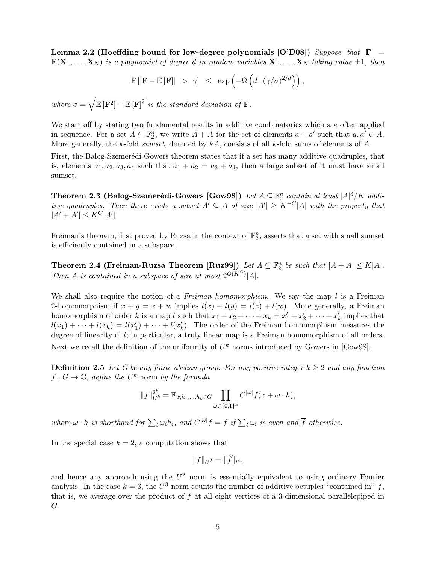Lemma 2.2 (Hoeffding bound for low-degree polynomials [O'D08]) Suppose that  $\mathbf{F}$  =  $\mathbf{F}(\mathbf{X}_1,\ldots,\mathbf{X}_N)$  is a polynomial of degree d in random variables  $\mathbf{X}_1,\ldots,\mathbf{X}_N$  taking value  $\pm 1$ , then

$$
\mathbb{P}\left[\left|\mathbf{F}-\mathbb{E}\left[\mathbf{F}\right]\right| > \gamma\right] \leq \exp\left(-\Omega\left(d \cdot (\gamma/\sigma)^{2/d}\right)\right),
$$

where  $\sigma = \sqrt{\mathbb{E}[\mathbf{F}^2] - \mathbb{E}[\mathbf{F}]^2}$  is the standard deviation of **F**.

We start off by stating two fundamental results in additive combinatorics which are often applied in sequence. For a set  $A \subseteq \mathbb{F}_2^n$ , we write  $A + A$  for the set of elements  $a + a'$  such that  $a, a' \in A$ . More generally, the k-fold sumset, denoted by  $kA$ , consists of all k-fold sums of elements of A.

First, the Balog-Szemerédi-Gowers theorem states that if a set has many additive quadruples, that is, elements  $a_1, a_2, a_3, a_4$  such that  $a_1 + a_2 = a_3 + a_4$ , then a large subset of it must have small sumset.

Theorem 2.3 (Balog-Szemerédi-Gowers [Gow98]) Let  $A \subseteq \mathbb{F}_2^n$  contain at least  $|A|^3/K$  additive quadruples. Then there exists a subset  $A' \subseteq A$  of size  $|A'| \ge K^{-C} |A|$  with the property that  $|A' + A'| \le K^C |A'|$ .

Freiman's theorem, first proved by Ruzsa in the context of  $\mathbb{F}_2^n$ , asserts that a set with small sumset is efficiently contained in a subspace.

Theorem 2.4 (Freiman-Ruzsa Theorem [Ruz99]) Let  $A \subseteq \mathbb{F}_2^n$  be such that  $|A + A| \le K|A|$ . Then A is contained in a subspace of size at most  $2^{O(K^C)}|A|$ .

We shall also require the notion of a Freiman homomorphism. We say the map  $l$  is a Freiman 2-homomorphism if  $x + y = z + w$  implies  $l(x) + l(y) = l(z) + l(w)$ . More generally, a Freiman homomorphism of order k is a map l such that  $x_1 + x_2 + \cdots + x_k = x'_1 + x'_2 + \cdots + x'_k$  implies that  $l(x_1) + \cdots + l(x_k) = l(x_1') + \cdots + l(x_k')$ . The order of the Freiman homomorphism measures the degree of linearity of l; in particular, a truly linear map is a Freiman homomorphism of all orders. Next we recall the definition of the uniformity of  $U^k$  norms introduced by Gowers in [Gow98].

**Definition 2.5** Let G be any finite abelian group. For any positive integer  $k \geq 2$  and any function  $f: G \to \mathbb{C}$ , define the  $U^k$ -norm by the formula

$$
||f||_{U^{k}}^{2^{k}} = \mathbb{E}_{x,h_1,...,h_k \in G} \prod_{\omega \in \{0,1\}^k} C^{|\omega|} f(x + \omega \cdot h),
$$

where  $\omega \cdot h$  is shorthand for  $\sum_i \omega_i h_i$ , and  $C^{|\omega|} f = f$  if  $\sum_i \omega_i$  is even and  $\overline{f}$  otherwise.

In the special case  $k = 2$ , a computation shows that

$$
||f||_{U^2} = ||\hat{f}||_{l^4},
$$

and hence any approach using the  $U^2$  norm is essentially equivalent to using ordinary Fourier analysis. In the case  $k = 3$ , the  $U^3$  norm counts the number of additive octuples "contained in" f, that is, we average over the product of f at all eight vertices of a 3-dimensional parallelepiped in G.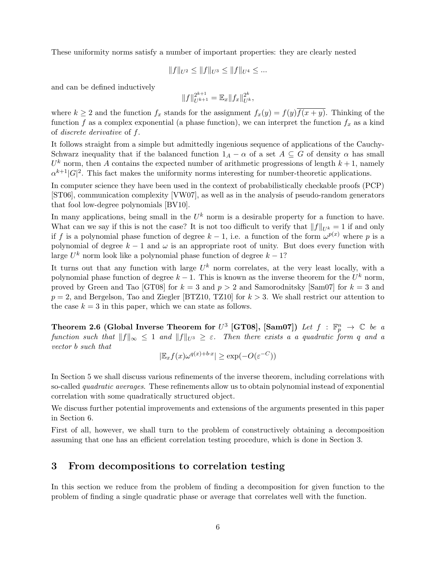These uniformity norms satisfy a number of important properties: they are clearly nested

$$
||f||_{U^2} \le ||f||_{U^3} \le ||f||_{U^4} \le \dots
$$

and can be defined inductively

$$
||f||_{U^{k+1}}^{2^{k+1}} = \mathbb{E}_x ||f_x||_{U^k}^{2^k},
$$

where  $k \geq 2$  and the function  $f_x$  stands for the assignment  $f_x(y) = f(y)\overline{f(x+y)}$ . Thinking of the function f as a complex exponential (a phase function), we can interpret the function  $f_x$  as a kind of discrete derivative of f.

It follows straight from a simple but admittedly ingenious sequence of applications of the Cauchy-Schwarz inequality that if the balanced function  $1_A - \alpha$  of a set  $A \subseteq G$  of density  $\alpha$  has small  $U<sup>k</sup>$  norm, then A contains the expected number of arithmetic progressions of length  $k+1$ , namely  $\alpha^{k+1}|G|^2$ . This fact makes the uniformity norms interesting for number-theoretic applications.

In computer science they have been used in the context of probabilistically checkable proofs (PCP) [ST06], communication complexity [VW07], as well as in the analysis of pseudo-random generators that fool low-degree polynomials [BV10].

In many applications, being small in the  $U^k$  norm is a desirable property for a function to have. What can we say if this is not the case? It is not too difficult to verify that  $||f||_{U^k} = 1$  if and only if f is a polynomial phase function of degree  $k-1$ , i.e. a function of the form  $\omega^{p(x)}$  where p is a polynomial of degree  $k - 1$  and  $\omega$  is an appropriate root of unity. But does every function with large  $U^k$  norm look like a polynomial phase function of degree  $k-1$ ?

It turns out that any function with large  $U^k$  norm correlates, at the very least locally, with a polynomial phase function of degree  $k-1$ . This is known as the inverse theorem for the  $U^k$  norm, proved by Green and Tao [GT08] for  $k = 3$  and  $p > 2$  and Samorodnitsky [Sam07] for  $k = 3$  and  $p = 2$ , and Bergelson, Tao and Ziegler [BTZ10, TZ10] for  $k > 3$ . We shall restrict our attention to the case  $k = 3$  in this paper, which we can state as follows.

Theorem 2.6 (Global Inverse Theorem for  $U^3$  [GT08], [Sam07]) Let  $f$  :  $\mathbb{F}_p^n$   $\rightarrow$  C be a function such that  $||f||_{\infty} \leq 1$  and  $||f||_{U^3} \geq \varepsilon$ . Then there exists a a quadratic form q and a vector b such that

$$
|\mathbb{E}_x f(x)\omega^{q(x)+b\cdot x}| \ge \exp(-O(\varepsilon^{-C}))
$$

In Section 5 we shall discuss various refinements of the inverse theorem, including correlations with so-called *quadratic averages*. These refinements allow us to obtain polynomial instead of exponential correlation with some quadratically structured object.

We discuss further potential improvements and extensions of the arguments presented in this paper in Section 6.

First of all, however, we shall turn to the problem of constructively obtaining a decomposition assuming that one has an efficient correlation testing procedure, which is done in Section 3.

# 3 From decompositions to correlation testing

In this section we reduce from the problem of finding a decomposition for given function to the problem of finding a single quadratic phase or average that correlates well with the function.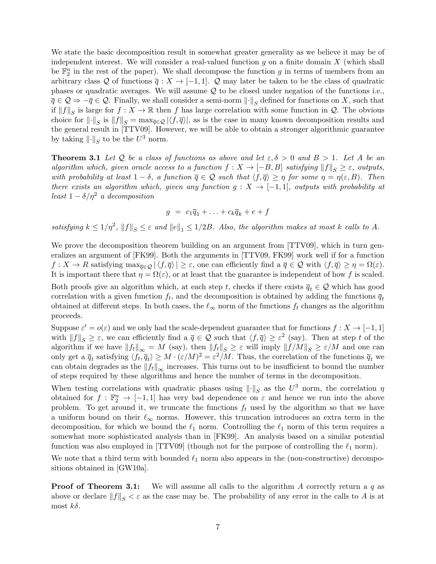We state the basic decomposition result in somewhat greater generality as we believe it may be of independent interest. We will consider a real-valued function  $g$  on a finite domain  $X$  (which shall be  $\mathbb{F}_2^n$  in the rest of the paper). We shall decompose the function g in terms of members from an arbitrary class Q of functions  $\overline{q}: X \to [-1,1]$ . Q may later be taken to be the class of quadratic phases or quadratic averages. We will assume  $\mathcal Q$  to be closed under negation of the functions i.e.,  $\overline{q} \in \mathcal{Q} \Rightarrow -\overline{q} \in \mathcal{Q}$ . Finally, we shall consider a semi-norm  $\lVert \cdot \rVert_S$  defined for functions on X, such that if  $||f||_S$  is large for  $f : X \to \mathbb{R}$  then f has large correlation with some function in Q. The obvious choice for  $\|\cdot\|_S$  is  $||f||_S = \max_{\overline{q} \in \mathcal{Q}} |\langle f, \overline{q} \rangle|$ , as is the case in many known decomposition results and the general result in [TTV09]. However, we will be able to obtain a stronger algorithmic guarantee by taking  $\lVert \cdot \rVert_S$  to be the  $U^3$  norm.

**Theorem 3.1** Let Q be a class of functions as above and let  $\varepsilon, \delta > 0$  and  $B > 1$ . Let A be an algorithm which, given oracle access to a function  $f: X \to [-B, B]$  satisfying  $||f||_S \geq \varepsilon$ , outputs, with probability at least  $1 - \delta$ , a function  $\overline{q} \in \mathcal{Q}$  such that  $\langle f, \overline{q} \rangle \ge \eta$  for some  $\eta = \eta(\varepsilon, B)$ . Then there exists an algorithm which, given any function  $g: X \to [-1,1]$ , outputs with probability at least  $1 - \delta/\eta^2$  a decomposition

$$
g = c_1 \overline{q}_1 + \ldots + c_k \overline{q}_k + e + f
$$

satisfying  $k \leq 1/\eta^2$ ,  $||f||_S \leq \varepsilon$  and  $||e||_1 \leq 1/2B$ . Also, the algorithm makes at most k calls to A.

We prove the decomposition theorem building on an argument from [TTV09], which in turn generalizes an argument of [FK99]. Both the arguments in [TTV09, FK99] work well if for a function  $f: X \to R$  satisfying  $\max_{\overline{q} \in \mathcal{Q}} |\langle f, \overline{q} \rangle| \geq \varepsilon$ , one can efficiently find a  $\overline{q} \in \mathcal{Q}$  with  $\langle f, \overline{q} \rangle \geq \eta = \Omega(\varepsilon)$ . It is important there that  $\eta = \Omega(\varepsilon)$ , or at least that the guarantee is independent of how f is scaled. Both proofs give an algorithm which, at each step t, checks if there exists  $\overline{q}_t \in \mathcal{Q}$  which has good correlation with a given function  $f_t$ , and the decomposition is obtained by adding the functions  $\overline{q}_t$ obtained at different steps. In both cases, the  $\ell_{\infty}$  norm of the functions  $f_t$  changes as the algorithm proceeds.

Suppose  $\varepsilon' = o(\varepsilon)$  and we only had the scale-dependent guarantee that for functions  $f: X \to [-1, 1]$ with  $||f||_S \geq \varepsilon$ , we can efficiently find a  $\overline{q} \in \mathcal{Q}$  such that  $\langle f, \overline{q} \rangle \geq \varepsilon^2$  (say). Then at step t of the algorithm if we have  $||f_t||_{\infty} = M$  (say), then  $||f_t||_{S} \geq \varepsilon$  will imply  $||f/M||_{S} \geq \varepsilon/M$  and one can only get a  $\overline{q}_t$  satisfying  $\langle f_t, \overline{q}_t \rangle \geq M \cdot (\varepsilon/M)^2 = \varepsilon^2/M$ . Thus, the correlation of the functions  $\overline{q}_t$  we can obtain degrades as the  $||f_t||_{\infty}$  increases. This turns out to be insufficient to bound the number of steps required by these algorithms and hence the number of terms in the decomposition.

When testing correlations with quadratic phases using  $\|\cdot\|_S$  as the  $U^3$  norm, the correlation  $\eta$ obtained for  $f : \mathbb{F}_2^n \to [-1,1]$  has very bad dependence on  $\varepsilon$  and hence we run into the above problem. To get around it, we truncate the functions  $f_t$  used by the algorithm so that we have a uniform bound on their  $\ell_{\infty}$  norms. However, this truncation introduces an extra term in the decomposition, for which we bound the  $\ell_1$  norm. Controlling the  $\ell_1$  norm of this term requires a somewhat more sophisticated analysis than in [FK99]. An analysis based on a similar potential function was also employed in [TTV09] (though not for the purpose of controlling the  $\ell_1$  norm).

We note that a third term with bounded  $\ell_1$  norm also appears in the (non-constructive) decompositions obtained in [GW10a].

**Proof of Theorem 3.1:** We will assume all calls to the algorithm A correctly return a  $q$  as above or declare  $||f||_S < \varepsilon$  as the case may be. The probability of any error in the calls to A is at most  $k\delta$ .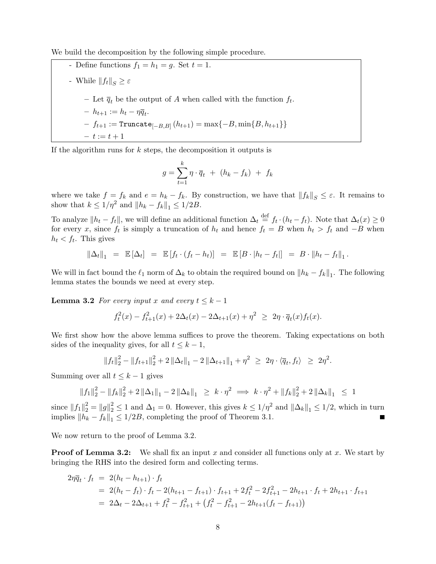We build the decomposition by the following simple procedure.

\n- Define functions 
$$
f_1 = h_1 = g
$$
. Set  $t = 1$ .
\n- While  $||f_t||_S \geq \varepsilon$
\n- Let  $\overline{q}_t$  be the output of A when called with the function  $f_t$ .
\n- $h_{t+1} := h_t - \eta \overline{q}_t$ .
\n- $f_{t+1} := \text{Truncate}_{[-B,B]}(h_{t+1}) = \max\{-B, \min\{B, h_{t+1}\}\}$
\n- $t := t + 1$
\n

If the algorithm runs for  $k$  steps, the decomposition it outputs is

$$
g = \sum_{t=1}^{k} \eta \cdot \overline{q}_t + (h_k - f_k) + f_k
$$

where we take  $f = f_k$  and  $e = h_k - f_k$ . By construction, we have that  $||f_k||_S \leq \varepsilon$ . It remains to show that  $k \le 1/\eta^2$  and  $||h_k - f_k||_1 \le 1/2B$ .

To analyze  $||h_t - f_t||$ , we will define an additional function  $\Delta_t \stackrel{\text{def}}{=} f_t \cdot (h_t - f_t)$ . Note that  $\Delta_t(x) \geq 0$ for every x, since  $f_t$  is simply a truncation of  $h_t$  and hence  $f_t = B$  when  $h_t > f_t$  and  $-B$  when  $h_t < f_t$ . This gives

$$
\|\Delta_t\|_1 = \mathbb{E}[\Delta_t] = \mathbb{E}[f_t \cdot (f_t - h_t)] = \mathbb{E}[B \cdot |h_t - f_t|] = B \cdot \|h_t - f_t\|_1.
$$

We will in fact bound the  $\ell_1$  norm of  $\Delta_k$  to obtain the required bound on  $||h_k - f_k||_1$ . The following lemma states the bounds we need at every step.

**Lemma 3.2** For every input x and every  $t \leq k - 1$ 

$$
f_t^2(x) - f_{t+1}^2(x) + 2\Delta_t(x) - 2\Delta_{t+1}(x) + \eta^2 \geq 2\eta \cdot \overline{q}_t(x) f_t(x).
$$

We first show how the above lemma suffices to prove the theorem. Taking expectations on both sides of the inequality gives, for all  $t \leq k - 1$ ,

$$
||f_t||_2^2 - ||f_{t+1}||_2^2 + 2||\Delta_t||_1 - 2||\Delta_{t+1}||_1 + \eta^2 \geq 2\eta \cdot \langle \overline{q}_t, f_t \rangle \geq 2\eta^2.
$$

Summing over all  $t \leq k-1$  gives

$$
||f_1||_2^2 - ||f_k||_2^2 + 2||\Delta_1||_1 - 2||\Delta_k||_1 \ge k \cdot \eta^2 \implies k \cdot \eta^2 + ||f_k||_2^2 + 2||\Delta_k||_1 \le 1
$$

since  $||f_1||_2^2 = ||g||_2^2 \le 1$  and  $\Delta_1 = 0$ . However, this gives  $k \le 1/\eta^2$  and  $||\Delta_k||_1 \le 1/2$ , which in turn implies  $||\overline{h_k} - f_k||_1 \leq 1/2B$ , completing the proof of Theorem 3.1.

We now return to the proof of Lemma 3.2.

**Proof of Lemma 3.2:** We shall fix an input x and consider all functions only at x. We start by bringing the RHS into the desired form and collecting terms.

$$
2\eta \overline{q}_t \cdot f_t = 2(h_t - h_{t+1}) \cdot f_t
$$
  
= 2(h\_t - f\_t) \cdot f\_t - 2(h\_{t+1} - f\_{t+1}) \cdot f\_{t+1} + 2f\_t^2 - 2f\_{t+1}^2 - 2h\_{t+1} \cdot f\_t + 2h\_{t+1} \cdot f\_{t+1}  
= 2\Delta\_t - 2\Delta\_{t+1} + f\_t^2 - f\_{t+1}^2 + (f\_t^2 - f\_{t+1}^2 - 2h\_{t+1}(f\_t - f\_{t+1}))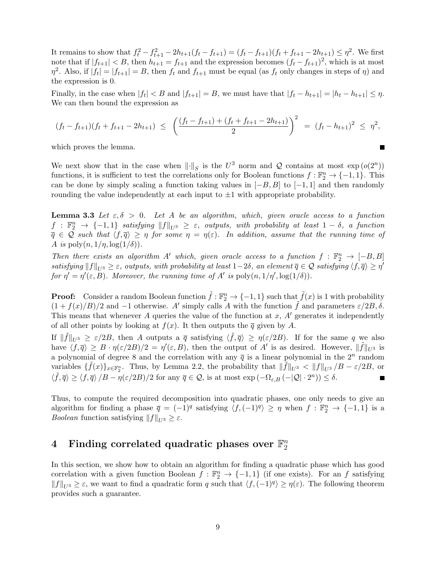It remains to show that  $f_t^2 - f_{t+1}^2 - 2h_{t+1}(f_t - f_{t+1}) = (f_t - f_{t+1})(f_t + f_{t+1} - 2h_{t+1}) \leq \eta^2$ . We first note that if  $|f_{t+1}| < B$ , then  $h_{t+1} = f_{t+1}$  and the expression becomes  $(f_t - f_{t+1})^2$ , which is at most  $\eta^2$ . Also, if  $|f_t| = |f_{t+1}| = B$ , then  $f_t$  and  $f_{t+1}$  must be equal (as  $f_t$  only changes in steps of  $\eta$ ) and the expression is 0.

Finally, in the case when  $|f_t| < B$  and  $|f_{t+1}| = B$ , we must have that  $|f_t - h_{t+1}| = |h_t - h_{t+1}| \leq \eta$ . We can then bound the expression as

$$
(f_t - f_{t+1})(f_t + f_{t+1} - 2h_{t+1}) \leq \left(\frac{(f_t - f_{t+1}) + (f_t + f_{t+1} - 2h_{t+1})}{2}\right)^2 = (f_t - h_{t+1})^2 \leq \eta^2,
$$

Г

which proves the lemma.

We next show that in the case when  $\lVert \cdot \rVert_S$  is the  $U^3$  norm and Q contains at most  $\exp(o(2^n))$ functions, it is sufficient to test the correlations only for Boolean functions  $f : \mathbb{F}_2^n \to \{-1,1\}$ . This can be done by simply scaling a function taking values in  $[-B, B]$  to  $[-1, 1]$  and then randomly rounding the value independently at each input to  $\pm 1$  with appropriate probability.

**Lemma 3.3** Let  $\varepsilon, \delta > 0$ . Let A be an algorithm, which, given oracle access to a function  $f: \mathbb{F}_2^n \to \{-1,1\}$  satisfying  $||f||_{U^3} \geq \varepsilon$ , outputs, with probability at least  $1-\delta$ , a function  $\overline{q} \in \mathcal{Q}$  such that  $\langle f, \overline{q} \rangle \ge \eta$  for some  $\eta = \eta(\varepsilon)$ . In addition, assume that the running time of A is  $poly(n, 1/\eta, \log(1/\delta)).$ 

Then there exists an algorithm A' which, given oracle access to a function  $f : \mathbb{F}_2^n \to [-B, B]$ satisfying  $||f||_{U^3} \ge \varepsilon$ , outputs, with probability at least  $1-2\delta$ , an element  $\overline{q} \in \mathcal{Q}$  satisfying  $\langle f, \overline{q} \rangle \ge \eta'$ for  $\eta' = \eta'(\varepsilon, B)$ . Moreover, the running time of A' is  $\text{poly}(n, 1/\eta', \log(1/\delta))$ .

**Proof:** Consider a random Boolean function  $\tilde{f}: \mathbb{F}_2^n \to \{-1,1\}$  such that  $\tilde{f}(x)$  is 1 with probability  $(1+f(x)/B)/2$  and -1 otherwise. A' simply calls A with the function f and parameters  $\varepsilon/2B, \delta$ . This means that whenever A queries the value of the function at  $x$ ,  $A'$  generates it independently of all other points by looking at  $f(x)$ . It then outputs the  $\overline{q}$  given by A.

If  $\|\tilde{f}\|_{U^3} \geq \varepsilon/2B$ , then A outputs a  $\bar{q}$  satisfying  $\langle \tilde{f}, \bar{q} \rangle \geq \eta(\varepsilon/2B)$ . If for the same q we also have  $\langle f, \overline{q} \rangle \geq B \cdot \eta(\varepsilon/2B)/2 = \eta'(\varepsilon, B)$ , then the output of A' is as desired. However,  $\|\tilde{f}\|_{U^3}$  is a polynomial of degree 8 and the correlation with any  $\bar{q}$  is a linear polynomial in the  $2^n$  random variables  $\{\tilde{f}(x)\}_{x\in\mathbb{F}_2^n}$ . Thus, by Lemma 2.2, the probability that  $\|\tilde{f}\|_{U^3} < \|f\|_{U^3}/B - \varepsilon/2B$ , or  $\langle \tilde{f}, \overline{q} \rangle \ge \langle f, \overline{q} \rangle /B - \eta(\varepsilon/2B)/2$  for any  $\overline{q} \in \mathcal{Q}$ , is at most  $\exp(-\Omega_{\varepsilon,B}(-|\mathcal{Q}| \cdot 2^n)) \le \delta$ .

Thus, to compute the required decomposition into quadratic phases, one only needs to give an algorithm for finding a phase  $\bar{q} = (-1)^q$  satisfying  $\langle f, (-1)^q \rangle \ge \eta$  when  $f : \mathbb{F}_2^n \to \{-1, 1\}$  is a *Boolean* function satisfying  $||f||_{U^3} \geq \varepsilon$ .

#### 4 Finding correlated quadratic phases over  $\mathbb{F}_2^n$ 2

In this section, we show how to obtain an algorithm for finding a quadratic phase which has good correlation with a given function Boolean  $f : \mathbb{F}_2^n \to \{-1,1\}$  (if one exists). For an f satisfying  $||f||_{U^3} \geq \varepsilon$ , we want to find a quadratic form q such that  $\langle f, (-1)^q \rangle \geq \eta(\varepsilon)$ . The following theorem provides such a guarantee.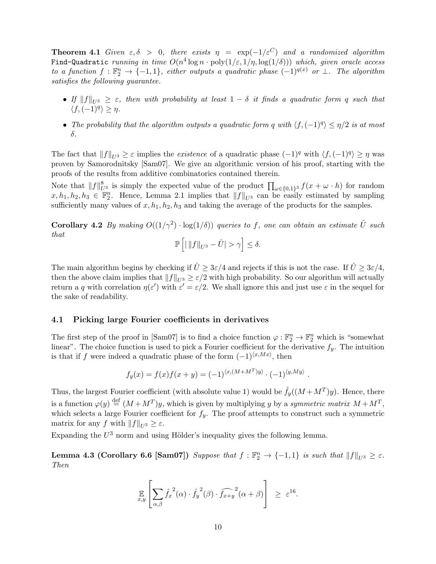**Theorem 4.1** Given  $\varepsilon, \delta > 0$ , there exists  $\eta = \exp(-1/\varepsilon^C)$  and a randomized algorithm Find-Quadratic  $running$  in time  $O(n^4\log n\cdot \text{poly}(1/\varepsilon,1/\eta,\log(1/\delta)))$  which, given oracle access to a function  $f : \mathbb{F}_2^n \to \{-1,1\}$ , either outputs a quadratic phase  $(-1)^{q(x)}$  or  $\perp$ . The algorithm satisfies the following guarantee.

- If  $||f||_{U^3} \geq \varepsilon$ , then with probability at least  $1 \delta$  it finds a quadratic form q such that  $\langle f, (-1)^q \rangle \geq \eta.$
- The probability that the algorithm outputs a quadratic form q with  $\langle f, (-1)^q \rangle \leq \eta/2$  is at most δ.

The fact that  $||f||_{U^3} \geq \varepsilon$  implies the *existence* of a quadratic phase  $(-1)^q$  with  $\langle f, (-1)^q \rangle \geq \eta$  was proven by Samorodnitsky [Sam07]. We give an algorithmic version of his proof, starting with the proofs of the results from additive combinatorics contained therein.

Note that  $||f||_{U^3}^8$  is simply the expected value of the product  $\prod_{\omega \in \{0,1\}^3} f(x + \omega \cdot h)$  for random  $x, h_1, h_2, h_3 \in \mathbb{F}_2^n$ . Hence, Lemma 2.1 implies that  $||f||_{U^3}$  can be easily estimated by sampling sufficiently many values of  $x, h_1, h_2, h_3$  and taking the average of the products for the samples.

**Corollary 4.2** By making  $O((1/\gamma^2) \cdot \log(1/\delta))$  queries to f, one can obtain an estimate  $\hat{U}$  such that

$$
\mathbb{P}\left[\left|\left|\left|f\right|\right|_{U^3}-\hat{U}\right|>\gamma\right]\leq\delta.
$$

The main algorithm begins by checking if  $\hat{U} \geq 3\varepsilon/4$  and rejects if this is not the case. If  $\hat{U} \geq 3\varepsilon/4$ , then the above claim implies that  $||f||_{U^3} \geq \varepsilon/2$  with high probability. So our algorithm will actually return a q with correlation  $\eta(\varepsilon')$  with  $\varepsilon' = \varepsilon/2$ . We shall ignore this and just use  $\varepsilon$  in the sequel for the sake of readability.

### 4.1 Picking large Fourier coefficients in derivatives

The first step of the proof in [Sam07] is to find a choice function  $\varphi : \mathbb{F}_2^n \to \mathbb{F}_2^n$  which is "somewhat" linear". The choice function is used to pick a Fourier coefficient for the derivative  $f_y$ . The intuition is that if f were indeed a quadratic phase of the form  $(-1)^{\langle x,Mx\rangle}$ , then

$$
f_y(x) = f(x)f(x+y) = (-1)^{\langle x, (M+M^T)y \rangle} \cdot (-1)^{\langle y, My \rangle}
$$

.

Thus, the largest Fourier coefficient (with absolute value 1) would be  $\hat{f}_y((M + M^T)y)$ . Hence, there is a function  $\varphi(y) \stackrel{\text{def}}{=} (M + M^T)y$ , which is given by multiplying y by a symmetric matrix  $M + M^T$ , which selects a large Fourier coefficient for  $f_y$ . The proof attempts to construct such a symmetric matrix for any f with  $||f||_{U_3} \geq \varepsilon$ .

Expanding the  $U^3$  norm and using Hölder's inequality gives the following lemma.

**Lemma 4.3 (Corollary 6.6 [Sam07])** Suppose that  $f : \mathbb{F}_2^n \to \{-1,1\}$  is such that  $||f||_{U^3} \geq \varepsilon$ . Then

$$
\mathbb{E}_{x,y}\left[\sum_{\alpha,\beta} \hat{f_x}^2(\alpha) \cdot \hat{f_y}^2(\beta) \cdot \widehat{f_{x+y}}^2(\alpha+\beta)\right] \geq \varepsilon^{16}.
$$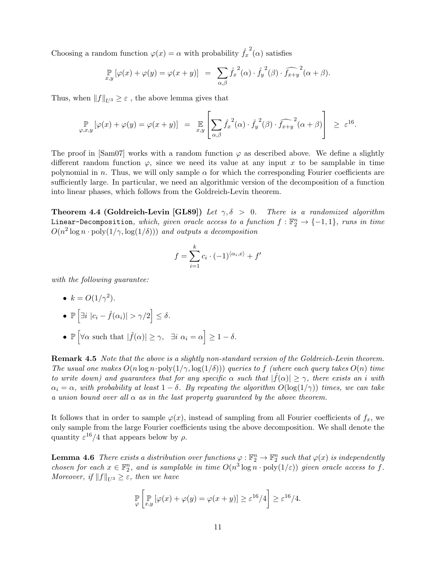Choosing a random function  $\varphi(x) = \alpha$  with probability  $\hat{f}_x^2(\alpha)$  satisfies

$$
\mathop{\mathbb{P}}_{x,y} [\varphi(x) + \varphi(y) = \varphi(x+y)] = \sum_{\alpha,\beta} \hat{f}_x^2(\alpha) \cdot \hat{f}_y^2(\beta) \cdot \widehat{f_{x+y}}^2(\alpha+\beta).
$$

Thus, when  $||f||_{U^3} \geq \varepsilon$ , the above lemma gives that

$$
\mathop{\mathbb{P}}_{\varphi,x,y}\left[\varphi(x)+\varphi(y)=\varphi(x+y)\right] = \mathop{\mathbb{E}}_{x,y}\left[\sum_{\alpha,\beta}\hat{f_x}^2(\alpha)\cdot\hat{f_y}^2(\beta)\cdot\widehat{f_{x+y}}^2(\alpha+\beta)\right] \geq \varepsilon^{16}.
$$

The proof in [Sam07] works with a random function  $\varphi$  as described above. We define a slightly different random function  $\varphi$ , since we need its value at any input x to be samplable in time polynomial in n. Thus, we will only sample  $\alpha$  for which the corresponding Fourier coefficients are sufficiently large. In particular, we need an algorithmic version of the decomposition of a function into linear phases, which follows from the Goldreich-Levin theorem.

**Theorem 4.4 (Goldreich-Levin [GL89])** Let  $\gamma, \delta > 0$ . There is a randomized algorithm Linear-Decomposition, which, given oracle access to a function  $f: \mathbb{F}_2^n \to \{-1,1\}$ , runs in time  $O(n^2 \log n \cdot \text{poly}(1/\gamma, \log(1/\delta)))$  and outputs a decomposition

$$
f = \sum_{i=1}^{k} c_i \cdot (-1)^{\langle \alpha_i, x \rangle} + f'
$$

with the following guarantee:

•  $k = O(1/\gamma^2)$ .

• 
$$
\mathbb{P}\left[\exists i \ |c_i - \hat{f}(\alpha_i)| > \gamma/2\right] \le \delta.
$$

•  $\mathbb{P}\left[\forall \alpha \text{ such that } |\hat{f}(\alpha)| \geq \gamma, \exists i \alpha_i = \alpha \right] \geq 1 - \delta.$ 

Remark 4.5 Note that the above is a slightly non-standard version of the Goldreich-Levin theorem. The usual one makes  $O(n \log n \cdot \text{poly}(1/\gamma, \log(1/\delta)))$  queries to f (where each query takes  $O(n)$  time to write down) and guarantees that for any specific  $\alpha$  such that  $|\hat{f}(\alpha)| \geq \gamma$ , there exists an i with  $\alpha_i = \alpha$ , with probability at least  $1 - \delta$ . By repeating the algorithm  $O(\log(1/\gamma))$  times, we can take a union bound over all  $\alpha$  as in the last property guaranteed by the above theorem.

It follows that in order to sample  $\varphi(x)$ , instead of sampling from all Fourier coefficients of  $f_x$ , we only sample from the large Fourier coefficients using the above decomposition. We shall denote the quantity  $\varepsilon^{16}/4$  that appears below by  $\rho$ .

**Lemma 4.6** There exists a distribution over functions  $\varphi : \mathbb{F}_2^n \to \mathbb{F}_2^n$  such that  $\varphi(x)$  is independently chosen for each  $x \in \mathbb{F}_2^n$ , and is samplable in time  $O(n^3 \log n \cdot \text{poly}(1/\varepsilon))$  given oracle access to f. Moreover, if  $||f||_{U^3} \geq \varepsilon$ , then we have

$$
\mathbb{P}\left[\mathbb{P}_{x,y}\left[\varphi(x)+\varphi(y)=\varphi(x+y)\right]\geq \varepsilon^{16}/4\right]\geq \varepsilon^{16}/4.
$$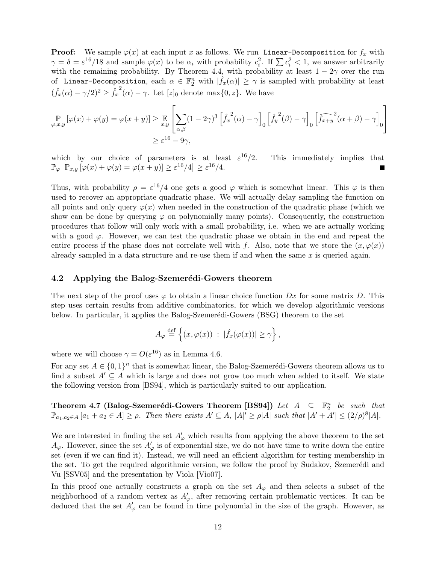**Proof:** We sample  $\varphi(x)$  at each input x as follows. We run Linear-Decomposition for  $f_x$  with  $\gamma = \delta = \varepsilon^{16}/18$  and sample  $\varphi(x)$  to be  $\alpha_i$  with probability  $c_i^2$ . If  $\sum c_i^2 < 1$ , we answer arbitrarily with the remaining probability. By Theorem 4.4, with probability at least  $1 - 2\gamma$  over the run of Linear-Decomposition, each  $\alpha \in \mathbb{F}_2^n$  with  $|\hat{f}_x(\alpha)| \geq \gamma$  is sampled with probability at least  $(\hat{f}_x(\alpha) - \gamma/2)^2 \geq \hat{f}_x^2(\alpha) - \gamma$ . Let  $[z]_0$  denote max $\{0, z\}$ . We have

$$
\mathbb{P}_{\varphi,x,y}[\varphi(x) + \varphi(y) = \varphi(x+y)] \geq \mathbb{E}_{x,y} \left[ \sum_{\alpha,\beta} (1-2\gamma)^3 \left[ \hat{f}_x^2(\alpha) - \gamma \right]_0 \left[ \hat{f}_y^2(\beta) - \gamma \right]_0 \left[ \widehat{f_{x+y}}^2(\alpha+\beta) - \gamma \right]_0 \right]
$$
  

$$
\geq \varepsilon^{16} - 9\gamma,
$$

which by our choice of parameters is at least  $\varepsilon^{16}/2$ . This immediately implies that  $\mathbb{P}_{\varphi}\left[\mathbb{P}_{x,y}\left[\varphi(x)+\varphi(y)=\varphi(x+y)\right]\geq \varepsilon^{16}/4\right]\geq \varepsilon^{16}/4.$ 

Thus, with probability  $\rho = \varepsilon^{16}/4$  one gets a good  $\varphi$  which is somewhat linear. This  $\varphi$  is then used to recover an appropriate quadratic phase. We will actually delay sampling the function on all points and only query  $\varphi(x)$  when needed in the construction of the quadratic phase (which we show can be done by querying  $\varphi$  on polynomially many points). Consequently, the construction procedures that follow will only work with a small probability, i.e. when we are actually working with a good  $\varphi$ . However, we can test the quadratic phase we obtain in the end and repeat the entire process if the phase does not correlate well with f. Also, note that we store the  $(x, \varphi(x))$ already sampled in a data structure and re-use them if and when the same  $x$  is queried again.

### 4.2 Applying the Balog-Szemerédi-Gowers theorem

The next step of the proof uses  $\varphi$  to obtain a linear choice function Dx for some matrix D. This step uses certain results from additive combinatorics, for which we develop algorithmic versions below. In particular, it applies the Balog-Szemerédi-Gowers (BSG) theorem to the set

$$
A_{\varphi} \stackrel{\text{def}}{=} \left\{ (x, \varphi(x)) \; : \; |\hat{f}_x(\varphi(x))| \geq \gamma \right\},\,
$$

where we will choose  $\gamma = O(\varepsilon^{16})$  as in Lemma 4.6.

For any set  $A \in \{0,1\}^n$  that is somewhat linear, the Balog-Szemerédi-Gowers theorem allows us to find a subset  $A' \subseteq A$  which is large and does not grow too much when added to itself. We state the following version from [BS94], which is particularly suited to our application.

Theorem 4.7 (Balog-Szemerédi-Gowers Theorem [BS94]) Let  $A \subseteq \mathbb{F}_2^n$  be such that  $\mathbb{P}_{a_1,a_2\in A}\left[a_1+a_2\in A\right]\geq \rho$ . Then there exists  $A'\subseteq A$ ,  $|A|'\geq \rho|A|$  such that  $|A'+A'|\leq (2/\rho)^8|A|.$ 

We are interested in finding the set  $A'_{\varphi}$  which results from applying the above theorem to the set  $A_{\varphi}$ . However, since the set  $A'_{\varphi}$  is of exponential size, we do not have time to write down the entire set (even if we can find it). Instead, we will need an efficient algorithm for testing membership in the set. To get the required algorithmic version, we follow the proof by Sudakov, Szemerédi and Vu [SSV05] and the presentation by Viola [Vio07].

In this proof one actually constructs a graph on the set  $A_{\varphi}$  and then selects a subset of the neighborhood of a random vertex as  $A'_{\varphi}$ , after removing certain problematic vertices. It can be deduced that the set  $A'_{\varphi}$  can be found in time polynomial in the size of the graph. However, as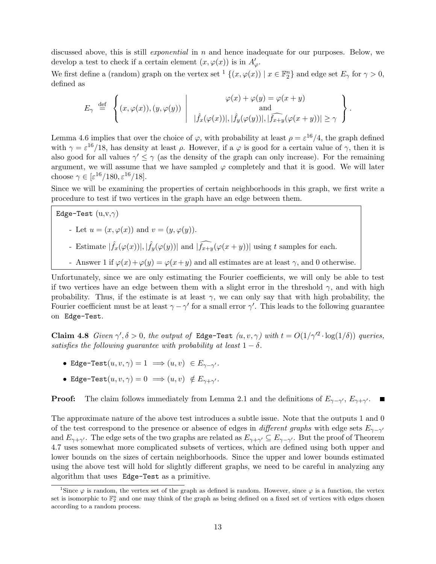discussed above, this is still *exponential* in n and hence inadequate for our purposes. Below, we develop a test to check if a certain element  $(x, \varphi(x))$  is in  $A'_{\varphi}$ .

We first define a (random) graph on the vertex set <sup>1</sup>  $\{(x,\varphi(x)) \mid x \in \mathbb{F}_2^n\}$  and edge set  $E_\gamma$  for  $\gamma > 0$ , defined as

$$
E_{\gamma} \stackrel{\text{def}}{=} \left\{ (x, \varphi(x)), (y, \varphi(y)) \middle| \begin{array}{c} \varphi(x) + \varphi(y) = \varphi(x + y) \\ \text{and} \\ |\hat{f}_x(\varphi(x))|, |\hat{f}_y(\varphi(y))|, |\hat{f}_{x+y}(\varphi(x + y))| \geq \gamma \end{array} \right\}.
$$

Lemma 4.6 implies that over the choice of  $\varphi$ , with probability at least  $\rho = \varepsilon^{16}/4$ , the graph defined with  $\gamma = \varepsilon^{16}/18$ , has density at least  $\rho$ . However, if a  $\varphi$  is good for a certain value of  $\gamma$ , then it is also good for all values  $\gamma' \leq \gamma$  (as the density of the graph can only increase). For the remaining argument, we will assume that we have sampled  $\varphi$  completely and that it is good. We will later choose  $\gamma \in [\varepsilon^{16}/180, \varepsilon^{16}/18].$ 

Since we will be examining the properties of certain neighborhoods in this graph, we first write a procedure to test if two vertices in the graph have an edge between them.

Edge-Test  $(u,v,\gamma)$ 

- Let  $u = (x, \varphi(x))$  and  $v = (y, \varphi(y))$ .
- Estimate  $|\hat{f}_x(\varphi(x))|, |\hat{f}_y(\varphi(y))|$  and  $|\widehat{f_{x+y}}(\varphi(x+y))|$  using t samples for each.
- Answer 1 if  $\varphi(x) + \varphi(y) = \varphi(x+y)$  and all estimates are at least  $\gamma$ , and 0 otherwise.

Unfortunately, since we are only estimating the Fourier coefficients, we will only be able to test if two vertices have an edge between them with a slight error in the threshold  $\gamma$ , and with high probability. Thus, if the estimate is at least  $\gamma$ , we can only say that with high probability, the Fourier coefficient must be at least  $\gamma - \gamma'$  for a small error  $\gamma'$ . This leads to the following guarantee on Edge-Test.

Claim 4.8 Given  $\gamma', \delta > 0$ , the output of Edge-Test  $(u, v, \gamma)$  with  $t = O(1/\gamma'^2 \cdot \log(1/\delta))$  queries, satisfies the following quarantee with probability at least  $1 - \delta$ .

- Edge-Test $(u, v, \gamma) = 1 \implies (u, v) \in E_{\gamma \gamma'}.$
- Edge-Test $(u,v,\gamma)=0 \implies (u,v) \notin E_{\gamma+\gamma'}.$

**Proof:** The claim follows immediately from Lemma 2.1 and the definitions of  $E_{\gamma-\gamma'}$ ,  $E_{\gamma+\gamma'}$ .

The approximate nature of the above test introduces a subtle issue. Note that the outputs 1 and 0 of the test correspond to the presence or absence of edges in *different graphs* with edge sets  $E_{\gamma-\gamma'}$ and  $E_{\gamma+\gamma'}$ . The edge sets of the two graphs are related as  $E_{\gamma+\gamma'} \subseteq E_{\gamma-\gamma'}$ . But the proof of Theorem 4.7 uses somewhat more complicated subsets of vertices, which are defined using both upper and lower bounds on the sizes of certain neighborhoods. Since the upper and lower bounds estimated using the above test will hold for slightly different graphs, we need to be careful in analyzing any algorithm that uses Edge-Test as a primitive.

<sup>&</sup>lt;sup>1</sup>Since  $\varphi$  is random, the vertex set of the graph as defined is random. However, since  $\varphi$  is a function, the vertex set is isomorphic to  $\mathbb{F}_2^n$  and one may think of the graph as being defined on a fixed set of vertices with edges chosen according to a random process.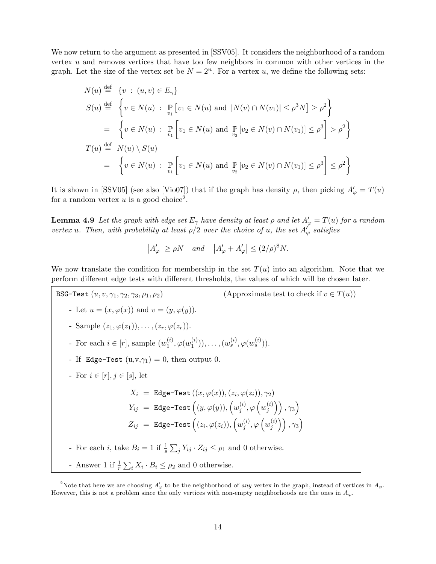We now return to the argument as presented in [SSV05]. It considers the neighborhood of a random vertex  $u$  and removes vertices that have too few neighbors in common with other vertices in the graph. Let the size of the vertex set be  $N = 2<sup>n</sup>$ . For a vertex u, we define the following sets:

$$
N(u) \stackrel{\text{def}}{=} \{v : (u, v) \in E_{\gamma}\}
$$
  
\n
$$
S(u) \stackrel{\text{def}}{=} \{v \in N(u) : \mathbb{P}[v_1 \in N(u) \text{ and } |N(v) \cap N(v_1)| \le \rho^3 N] \ge \rho^2\}
$$
  
\n
$$
= \{v \in N(u) : \mathbb{P}[v_1 \in N(u) \text{ and } \mathbb{P}[v_2 \in N(v) \cap N(v_1)] \le \rho^3\} > \rho^2\}
$$
  
\n
$$
T(u) \stackrel{\text{def}}{=} N(u) \setminus S(u)
$$
  
\n
$$
= \{v \in N(u) : \mathbb{P}[v_1 \in N(u) \text{ and } \mathbb{P}[v_2 \in N(v) \cap N(v_1)] \le \rho^3\} \le \rho^2\}
$$

It is shown in [SSV05] (see also [Vio07]) that if the graph has density  $\rho$ , then picking  $A'_{\varphi} = T(u)$ for a random vertex  $u$  is a good choice<sup>2</sup>.

**Lemma 4.9** Let the graph with edge set  $E_{\gamma}$  have density at least  $\rho$  and let  $A_{\varphi}' = T(u)$  for a random vertex u. Then, with probability at least  $\rho/2$  over the choice of u, the set  $A'_{\varphi}$  satisfies

$$
|A'_{\varphi}| \ge \rho N \quad \text{and} \quad |A'_{\varphi} + A'_{\varphi}| \le (2/\rho)^8 N.
$$

We now translate the condition for membership in the set  $T(u)$  into an algorithm. Note that we perform different edge tests with different thresholds, the values of which will be chosen later.

BSG-Test  $(u, v, \gamma_1, \gamma_2, \gamma_3, \rho_1, \rho_2)$  (Approximate test to check if  $v \in T(u)$ ) - Let  $u = (x, \varphi(x))$  and  $v = (y, \varphi(y)).$ - Sample  $(z_1, \varphi(z_1)), \ldots, (z_r, \varphi(z_r)).$ - For each  $i \in [r]$ , sample  $(w_1^{(i)})$  $\mathcal{L}_1^{(i)}, \varphi(w_1^{(i)})$  $\binom{(i)}{1}), \ldots, (w_s^{(i)}, \varphi(w_s^{(i)})).$ - If Edge-Test  $(u,v,\gamma_1) = 0$ , then output 0. - For  $i \in [r], j \in [s],$  let  $X_i \; = \; \texttt{Edge-Test}\,((x, \varphi(x)),(z_i, \varphi(z_i)), \gamma_2)$  $Y_{ij}$  = Edge-Test  $\left( (y, \varphi(y)), \left( w_j^{(i)} \right)\right)$  $j^{(i)}, \varphi\left(w_j^{(i)}\right)$  $\binom{i)}{j}$ ,  $\gamma_3$ )  $Z_{ij}$  = Edge-Test  $\left((z_i, \varphi(z_i)), \left(w_j^{(i)}\right)\right)$  $_j^{(i)}, \varphi\left(w_j^{(i)}\right)$  $\binom{i)}{j}$ ,  $\gamma_3$ ) - For each *i*, take  $B_i = 1$  if  $\frac{1}{s} \sum_j Y_{ij} \cdot Z_{ij} \le \rho_1$  and 0 otherwise. - Answer 1 if  $\frac{1}{r} \sum_i X_i \cdot B_i \leq \rho_2$  and 0 otherwise.

<sup>&</sup>lt;sup>2</sup>Note that here we are choosing  $A'_{\varphi}$  to be the neighborhood of any vertex in the graph, instead of vertices in  $A_{\varphi}$ . However, this is not a problem since the only vertices with non-empty neighborhoods are the ones in  $A_{\varphi}$ .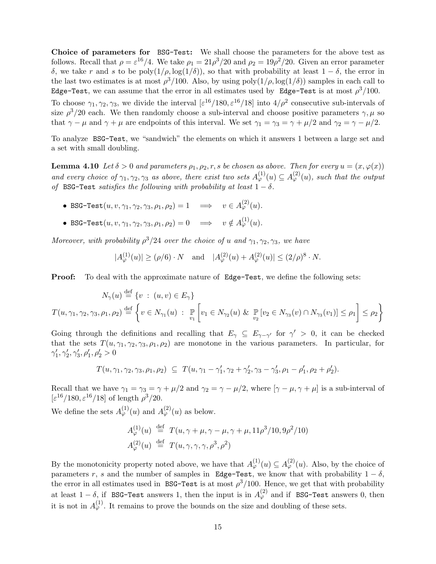Choice of parameters for BSG-Test: We shall choose the parameters for the above test as follows. Recall that  $\rho = \varepsilon^{16}/4$ . We take  $\rho_1 = 21\rho^3/20$  and  $\rho_2 = 19\rho^2/20$ . Given an error parameter δ, we take r and s to be poly(1/ρ, log(1/δ)), so that with probability at least 1 − δ, the error in the last two estimates is at most  $\rho^3/100$ . Also, by using  $poly(1/\rho, \log(1/\delta))$  samples in each call to Edge-Test, we can assume that the error in all estimates used by Edge-Test is at most  $\rho^3/100.$ 

To choose  $\gamma_1, \gamma_2, \gamma_3$ , we divide the interval  $\left[\varepsilon^{16}/180, \varepsilon^{16}/18\right]$  into  $4/\rho^2$  consecutive sub-intervals of size  $\rho^3/20$  each. We then randomly choose a sub-interval and choose positive parameters  $\gamma, \mu$  so that  $\gamma - \mu$  and  $\gamma + \mu$  are endpoints of this interval. We set  $\gamma_1 = \gamma_3 = \gamma + \mu/2$  and  $\gamma_2 = \gamma - \mu/2$ .

To analyze BSG-Test, we "sandwich" the elements on which it answers 1 between a large set and a set with small doubling.

**Lemma 4.10** Let  $\delta > 0$  and parameters  $\rho_1, \rho_2, r, s$  be chosen as above. Then for every  $u = (x, \varphi(x))$ and every choice of  $\gamma_1, \gamma_2, \gamma_3$  as above, there exist two sets  $A_{\varphi}^{(1)}(u) \subseteq A_{\varphi}^{(2)}(u)$ , such that the output of BSG-Test satisfies the following with probability at least  $1 - \delta$ .

- BSG-Test $(u, v, \gamma_1, \gamma_2, \gamma_3, \rho_1, \rho_2) = 1 \quad \Longrightarrow \quad v \in A_{\varphi}^{(2)}(u).$
- BSG-Test $(u, v, \gamma_1, \gamma_2, \gamma_3, \rho_1, \rho_2) = 0 \implies v \notin A_{\varphi}^{(1)}(u).$

Moreover, with probability  $\rho^3/24$  over the choice of u and  $\gamma_1, \gamma_2, \gamma_3$ , we have

$$
|A_{\varphi}^{(1)}(u)| \ge (\rho/6) \cdot N
$$
 and  $|A_{\varphi}^{(2)}(u) + A_{\varphi}^{(2)}(u)| \le (2/\rho)^8 \cdot N$ .

**Proof:** To deal with the approximate nature of Edge-Test, we define the following sets:

$$
N_{\gamma}(u) \stackrel{\text{def}}{=} \{v \; : \; (u, v) \in E_{\gamma}\}
$$
  

$$
T(u, \gamma_1, \gamma_2, \gamma_3, \rho_1, \rho_2) \stackrel{\text{def}}{=} \left\{v \in N_{\gamma_1}(u) \; : \; \mathbb{P}_{v_1}\left[v_1 \in N_{\gamma_2}(u) \; \& \; \mathbb{P}_{v_2}[v_2 \in N_{\gamma_3}(v) \cap N_{\gamma_3}(v_1)] \leq \rho_1\right] \leq \rho_2\right\}
$$

Going through the definitions and recalling that  $E_\gamma \subseteq E_{\gamma-\gamma'}$  for  $\gamma' > 0$ , it can be checked that the sets  $T(u, \gamma_1, \gamma_2, \gamma_3, \rho_1, \rho_2)$  are monotone in the various parameters. In particular, for  $\gamma'_1, \gamma'_2, \gamma'_3, \rho'_1, \rho'_2 > 0$ 

$$
T(u, \gamma_1, \gamma_2, \gamma_3, \rho_1, \rho_2) \subseteq T(u, \gamma_1 - \gamma_1', \gamma_2 + \gamma_2', \gamma_3 - \gamma_3', \rho_1 - \rho_1', \rho_2 + \rho_2').
$$

Recall that we have  $\gamma_1 = \gamma_3 = \gamma + \mu/2$  and  $\gamma_2 = \gamma - \mu/2$ , where  $[\gamma - \mu, \gamma + \mu]$  is a sub-interval of  $\left[\varepsilon^{16}/180,\varepsilon^{16}/18\right]$  of length  $\rho^3/20$ .

We define the sets  $A_{\varphi}^{(1)}(u)$  and  $A_{\varphi}^{(2)}(u)$  as below.

$$
A_{\varphi}^{(1)}(u) \stackrel{\text{def}}{=} T(u, \gamma + \mu, \gamma - \mu, \gamma + \mu, 11\rho^3/10, 9\rho^2/10)
$$
  

$$
A_{\varphi}^{(2)}(u) \stackrel{\text{def}}{=} T(u, \gamma, \gamma, \gamma, \rho^3, \rho^2)
$$

By the monotonicity property noted above, we have that  $A_{\varphi}^{(1)}(u) \subseteq A_{\varphi}^{(2)}(u)$ . Also, by the choice of parameters r, s and the number of samples in Edge-Test, we know that with probability  $1 - \delta$ , the error in all estimates used in BSG-Test is at most  $\rho^3/100$ . Hence, we get that with probability at least  $1 - \delta$ , if BSG-Test answers 1, then the input is in  $A_{\varphi}^{(2)}$  and if BSG-Test answers 0, then it is not in  $A_{\varphi}^{(1)}$ . It remains to prove the bounds on the size and doubling of these sets.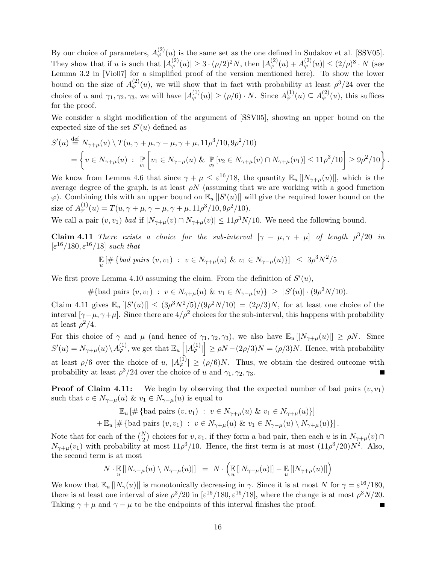By our choice of parameters,  $A_{\varphi}^{(2)}(u)$  is the same set as the one defined in Sudakov et al. [SSV05]. They show that if u is such that  $|A_{\varphi}^{(2)}(u)| \geq 3 \cdot (\rho/2)^2 N$ , then  $|A_{\varphi}^{(2)}(u) + A_{\varphi}^{(2)}(u)| \leq (2/\rho)^8 \cdot N$  (see Lemma 3.2 in [Vio07] for a simplified proof of the version mentioned here). To show the lower bound on the size of  $A_{\varphi}^{(2)}(u)$ , we will show that in fact with probability at least  $\rho^3/24$  over the choice of u and  $\gamma_1, \gamma_2, \gamma_3$ , we will have  $|A_{\varphi}^{(1)}(u)| \geq (\rho/6) \cdot N$ . Since  $A_{\varphi}^{(1)}(u) \subseteq A_{\varphi}^{(2)}(u)$ , this suffices for the proof.

We consider a slight modification of the argument of [SSV05], showing an upper bound on the expected size of the set  $S'(u)$  defined as

$$
S'(u) \stackrel{\text{def}}{=} N_{\gamma+\mu}(u) \setminus T(u, \gamma+\mu, \gamma-\mu, \gamma+\mu, 11\rho^3/10, 9\rho^2/10)
$$
  
= 
$$
\left\{ v \in N_{\gamma+\mu}(u) : \mathbb{P}_{v_1} \left[ v_1 \in N_{\gamma-\mu}(u) \& \mathbb{P}_{v_2} \left[ v_2 \in N_{\gamma+\mu}(v) \cap N_{\gamma+\mu}(v_1) \right] \le 11\rho^3/10 \right] \ge 9\rho^2/10 \right\}.
$$

We know from Lemma 4.6 that since  $\gamma + \mu \leq \varepsilon^{16}/18$ , the quantity  $\mathbb{E}_u[[N_{\gamma+\mu}(u)]]$ , which is the average degree of the graph, is at least  $\rho N$  (assuming that we are working with a good function  $\varphi$ ). Combining this with an upper bound on  $\mathbb{E}_u[[S'(u)]]$  will give the required lower bound on the size of  $A_{\varphi}^{(1)}(u) = T(u, \gamma + \mu, \gamma - \mu, \gamma + \mu, 11\rho^3/10, 9\rho^2/10).$ 

We call a pair  $(v, v_1)$  bad if  $|N_{\gamma+\mu}(v) \cap N_{\gamma+\mu}(v)| \leq 11 \rho^3 N/10$ . We need the following bound.

**Claim 4.11** There exists a choice for the sub-interval  $[\gamma - \mu, \gamma + \mu]$  of length  $\rho^3/20$  in  $\left[\varepsilon^{16}/180,\varepsilon^{16}/18\right]$  such that

$$
\mathbb{E}_{u} [\# \{bad \ pairs \ (v, v_1) \ : \ v \in N_{\gamma + \mu}(u) \ \& \ v_1 \in N_{\gamma - \mu}(u) \}] \leq 3\rho^3 N^2 / 5
$$

We first prove Lemma 4.10 assuming the claim. From the definition of  $S'(u)$ ,

#{bad pairs  $(v, v_1) : v \in N_{\gamma+\mu}(u)$  &  $v_1 \in N_{\gamma-\mu}(u)$ }  $\geq |S'(u)| \cdot (9\rho^2 N/10)$ .

Claim 4.11 gives  $\mathbb{E}_u[|S'(u)|] \leq (3\rho^3 N^2/5)/(9\rho^2 N/10) = (2\rho/3)N$ , for at least one choice of the interval  $[\gamma-\mu, \gamma+\mu]$ . Since there are  $4/\rho^2$  choices for the sub-interval, this happens with probability at least  $\rho^2/4$ .

For this choice of  $\gamma$  and  $\mu$  (and hence of  $\gamma_1, \gamma_2, \gamma_3$ ), we also have  $\mathbb{E}_u[[N_{\gamma+\mu}(u)]] \geq \rho N$ . Since  $S'(u) = N_{\gamma+\mu}(u) \setminus A_{\varphi}^{(1)}$ , we get that  $\mathbb{E}_u \left[ |A_{\varphi}^{(1)}| \right] \ge \rho N - (2\rho/3)N = (\rho/3)N$ . Hence, with probability at least  $\rho/6$  over the choice of u,  $|A_{\varphi}^{(1)}| \geq (\rho/6)N$ . Thus, we obtain the desired outcome with probability at least  $\rho^3/24$  over the choice of u and  $\gamma_1, \gamma_2, \gamma_3$ .

**Proof of Claim 4.11:** We begin by observing that the expected number of bad pairs  $(v, v_1)$ such that  $v \in N_{\gamma+\mu}(u)$  &  $v_1 \in N_{\gamma-\mu}(u)$  is equal to

$$
\mathbb{E}_u \left[ \# \left\{ \text{bad pairs } (v, v_1) \ : \ v \in N_{\gamma + \mu}(u) \ \& \ v_1 \in N_{\gamma + \mu}(u) \right\} \right] + \mathbb{E}_u \left[ \# \left\{ \text{bad pairs } (v, v_1) \ : \ v \in N_{\gamma + \mu}(u) \ \& \ v_1 \in N_{\gamma - \mu}(u) \setminus N_{\gamma + \mu}(u) \right\} \right].
$$

Note that for each of the  $\binom{N}{2}$  choices for  $v, v_1$ , if they form a bad pair, then each u is in  $N_{\gamma+\mu}(v)$  $N_{\gamma+\mu}(v_1)$  with probability at most  $11\rho^3/10$ . Hence, the first term is at most  $(11\rho^3/20)N^2$ . Also, the second term is at most

$$
N \cdot \mathop{\mathbb{E}}_{u} [|N_{\gamma-\mu}(u) \setminus N_{\gamma+\mu}(u)|] = N \cdot \left( \mathop{\mathbb{E}}_{u} [|N_{\gamma-\mu}(u)|] - \mathop{\mathbb{E}}_{u} [|N_{\gamma+\mu}(u)|] \right)
$$

We know that  $\mathbb{E}_u [N_\gamma(u)]$  is monotonically decreasing in  $\gamma$ . Since it is at most N for  $\gamma = \varepsilon^{16}/180$ , there is at least one interval of size  $\rho^3/20$  in  $\lbrack \varepsilon^{16}/180, \varepsilon^{16}/18 \rbrack$ , where the change is at most  $\rho^3N/20$ . Taking  $\gamma + \mu$  and  $\gamma - \mu$  to be the endpoints of this interval finishes the proof.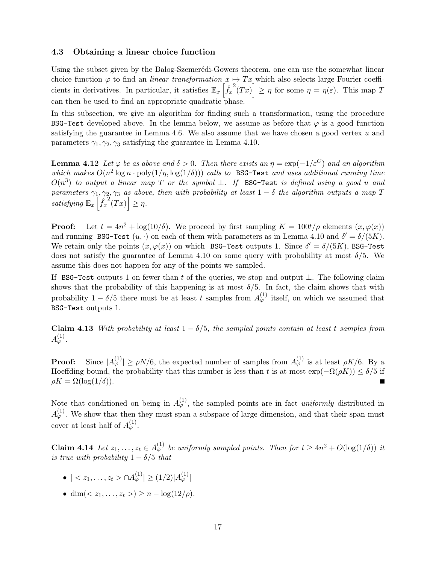### 4.3 Obtaining a linear choice function

Using the subset given by the Balog-Szemerédi-Gowers theorem, one can use the somewhat linear choice function  $\varphi$  to find an *linear transformation*  $x \mapsto Tx$  which also selects large Fourier coefficients in derivatives. In particular, it satisfies  $\mathbb{E}_x \left[ \hat{f}_x^2(T_x) \right] \geq \eta$  for some  $\eta = \eta(\varepsilon)$ . This map T can then be used to find an appropriate quadratic phase.

In this subsection, we give an algorithm for finding such a transformation, using the procedure BSG-Test developed above. In the lemma below, we assume as before that  $\varphi$  is a good function satisfying the guarantee in Lemma 4.6. We also assume that we have chosen a good vertex  $u$  and parameters  $\gamma_1, \gamma_2, \gamma_3$  satisfying the guarantee in Lemma 4.10.

**Lemma 4.12** Let  $\varphi$  be as above and  $\delta > 0$ . Then there exists an  $\eta = \exp(-1/\varepsilon^C)$  and an algorithm which makes  $O(n^2 \log n \cdot \text{poly}(1/\eta, \log(1/\delta)))$  calls to BSG-Test and uses additional running time  $O(n^3)$  to output a linear map T or the symbol  $\perp$ . If BSG-Test is defined using a good u and parameters  $\gamma_1, \gamma_2, \gamma_3$  as above, then with probability at least  $1 - \delta$  the algorithm outputs a map T satisfying  $\mathbb{E}_x \left[ \hat{f}_x^2(Tx) \right] \geq \eta$ .

**Proof:** Let  $t = 4n^2 + \log(10/\delta)$ . We proceed by first sampling  $K = 100t/\rho$  elements  $(x, \varphi(x))$ and running BSG-Test  $(u, \cdot)$  on each of them with parameters as in Lemma 4.10 and  $\delta' = \delta/(5K)$ . We retain only the points  $(x, \varphi(x))$  on which BSG-Test outputs 1. Since  $\delta' = \delta/(5K)$ , BSG-Test does not satisfy the guarantee of Lemma 4.10 on some query with probability at most  $\delta/5$ . We assume this does not happen for any of the points we sampled.

If BSG-Test outputs 1 on fewer than t of the queries, we stop and output  $\perp$ . The following claim shows that the probability of this happening is at most  $\delta/5$ . In fact, the claim shows that with probability  $1 - \delta/5$  there must be at least t samples from  $A_{\varphi}^{(1)}$  itself, on which we assumed that BSG-Test outputs 1.

Claim 4.13 With probability at least  $1 - \delta/5$ , the sampled points contain at least t samples from  $A_{\varphi}^{(1)}$  .

**Proof:** Since  $|A_{\varphi}^{(1)}| \ge \rho N/6$ , the expected number of samples from  $A_{\varphi}^{(1)}$  is at least  $\rho K/6$ . By a Hoeffding bound, the probability that this number is less than t is at most  $\exp(-\Omega(\rho K)) \le \delta/5$  if  $\rho K = \Omega(\log(1/\delta)).$ 

Note that conditioned on being in  $A_{\varphi}^{(1)}$ , the sampled points are in fact *uniformly* distributed in  $A_{\varphi}^{(1)}$ . We show that then they must span a subspace of large dimension, and that their span must cover at least half of  $A_{\varphi}^{(1)}$ .

**Claim 4.14** Let  $z_1, \ldots, z_t \in A_{\varphi}^{(1)}$  be uniformly sampled points. Then for  $t \geq 4n^2 + O(\log(1/\delta))$  it is true with probability  $1 - \delta/5$  that

- $\bullet \, \mid \,  \cap A_{\varphi}^{(1)} \! \mid \, \geq (1/2)|A_{\varphi}^{(1)}|$
- dim $(*z*<sub>1</sub>,..., *z*<sub>t</sub>) \geq n \log(12/\rho).$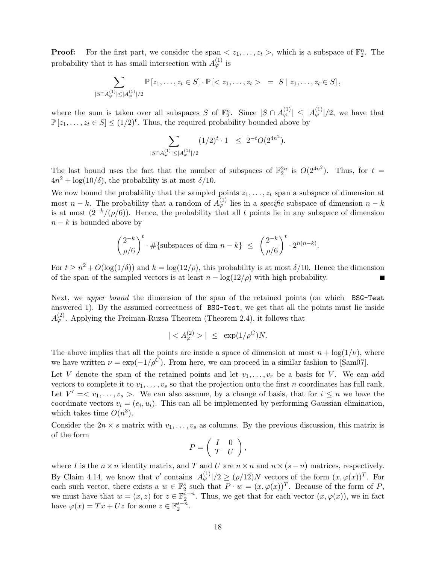**Proof:** For the first part, we consider the span  $\langle z_1, \ldots, z_t \rangle$ , which is a subspace of  $\mathbb{F}_2^n$ . The probability that it has small intersection with  $A_{\varphi}^{(1)}$  is

$$
\sum_{|S \cap A_{\varphi}^{(1)}| \leq |A_{\varphi}^{(1)}|/2} \mathbb{P}[z_1,\ldots,z_t \in S] \cdot \mathbb{P}[< z_1,\ldots,z_t > = S \mid z_1,\ldots,z_t \in S],
$$

where the sum is taken over all subspaces S of  $\mathbb{F}_2^n$ . Since  $|S \cap A_{\varphi}^{(1)}| \leq |A_{\varphi}^{(1)}|/2$ , we have that  $\mathbb{P}[z_1,\ldots,z_t\in S] \leq (1/2)^t$ . Thus, the required probability bounded above by

$$
\sum_{|S \cap A_{\varphi}^{(1)}| \le |A_{\varphi}^{(1)}|/2} (1/2)^t \cdot 1 \le 2^{-t} O(2^{4n^2}).
$$

The last bound uses the fact that the number of subspaces of  $\mathbb{F}_2^{2n}$  is  $O(2^{4n^2})$ . Thus, for  $t =$  $4n^2 + \log(10/\delta)$ , the probability is at most  $\delta/10$ .

We now bound the probability that the sampled points  $z_1, \ldots, z_t$  span a subspace of dimension at most  $n - k$ . The probability that a random of  $A_{\varphi}^{(1)}$  lies in a specific subspace of dimension  $n - k$ is at most  $(2^{-k}/(\rho/6))$ . Hence, the probability that all t points lie in any subspace of dimension  $n - k$  is bounded above by

$$
\left(\frac{2^{-k}}{\rho/6}\right)^t \cdot \#\{\text{subspaces of dim } n-k\} \leq \left(\frac{2^{-k}}{\rho/6}\right)^t \cdot 2^{n(n-k)}.
$$

For  $t \geq n^2 + O(\log(1/\delta))$  and  $k = \log(12/\rho)$ , this probability is at most  $\delta/10$ . Hence the dimension of the span of the sampled vectors is at least  $n - \log(12/\rho)$  with high probability.

Next, we upper bound the dimension of the span of the retained points (on which BSG-Test answered 1). By the assumed correctness of BSG-Test, we get that all the points must lie inside  $A_{\varphi}^{(2)}$ . Applying the Freiman-Ruzsa Theorem (Theorem 2.4), it follows that

$$
|< A_{\varphi}^{(2)}>|<\exp(1/\rho^C)N.
$$

The above implies that all the points are inside a space of dimension at most  $n + \log(1/\nu)$ , where we have written  $\nu = \exp(-1/\rho^C)$ . From here, we can proceed in a similar fashion to [Sam07].

Let V denote the span of the retained points and let  $v_1, \ldots, v_r$  be a basis for V. We can add vectors to complete it to  $v_1, \ldots, v_s$  so that the projection onto the first n coordinates has full rank. Let  $V' = \langle v_1, \ldots, v_s \rangle$ . We can also assume, by a change of basis, that for  $i \leq n$  we have the coordinate vectors  $v_i = (e_i, u_i)$ . This can all be implemented by performing Gaussian elimination, which takes time  $O(n^3)$ .

Consider the  $2n \times s$  matrix with  $v_1, \ldots, v_s$  as columns. By the previous discussion, this matrix is of the form

$$
P = \left( \begin{array}{cc} I & 0 \\ T & U \end{array} \right),
$$

where I is the  $n \times n$  identity matrix, and T and U are  $n \times n$  and  $n \times (s - n)$  matrices, respectively. By Claim 4.14, we know that v' contains  $|A_{\varphi}^{(1)}|/2 \geq (\rho/12)N$  vectors of the form  $(x, \varphi(x))^T$ . For each such vector, there exists a  $w \in \mathbb{F}_2^s$  such that  $P \cdot w = (x, \varphi(x))^T$ . Because of the form of P, we must have that  $w = (x, z)$  for  $z \in \mathbb{F}_2^{s-n}$ . Thus, we get that for each vector  $(x, \varphi(x))$ , we in fact have  $\varphi(x) = Tx + Uz$  for some  $z \in \mathbb{F}_2^{s-n}$ .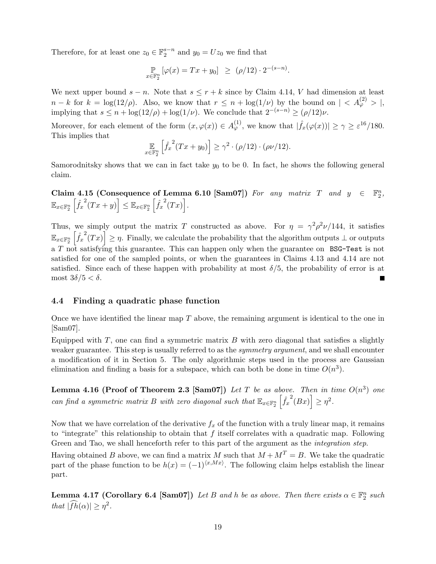Therefore, for at least one  $z_0 \in \mathbb{F}_2^{s-n}$  and  $y_0 = Uz_0$  we find that

$$
\mathbb{P}_{x \in \mathbb{F}_2^n} [\varphi(x) = Tx + y_0] \ge (\rho/12) \cdot 2^{-(s-n)}.
$$

We next upper bound  $s - n$ . Note that  $s \leq r + k$  since by Claim 4.14, V had dimension at least  $n - k$  for  $k = \log(12/\rho)$ . Also, we know that  $r \leq n + \log(1/\nu)$  by the bound on  $| \langle A_{\varphi}^{(2)} \rangle |$ , implying that  $s \le n + \log(12/\rho) + \log(1/\nu)$ . We conclude that  $2^{-(s-n)} \ge (\rho/12)\nu$ .

Moreover, for each element of the form  $(x, \varphi(x)) \in A_{\varphi}^{(1)}$ , we know that  $|\hat{f}_x(\varphi(x))| \geq \gamma \geq \varepsilon^{16}/180$ . This implies that

$$
\mathop{\mathbb{E}}_{x \in \mathbb{F}_2^n} \left[ \hat{f_x}^2(Tx + y_0) \right] \geq \gamma^2 \cdot (\rho/12) \cdot (\rho \nu/12).
$$

Samorodnitsky shows that we can in fact take  $y_0$  to be 0. In fact, he shows the following general claim.

Claim 4.15 (Consequence of Lemma 6.10 [Sam07]) For any matrix T and  $y \in$  $\frac{n}{2}$  $\mathbb{E}_{x \in \mathbb{F}_2^n} \left[ \hat{f_x}^2(Tx+y) \right] \leq \mathbb{E}_{x \in \mathbb{F}_2^n} \left[ \hat{f_x}^2(Tx) \right].$ 

Thus, we simply output the matrix T constructed as above. For  $\eta = \gamma^2 \rho^2 \nu / 144$ , it satisfies  $\mathbb{E}_{x\in\mathbb{F}_2^n}\left[\hat{f_x}^2(Tx)\right]\geq \eta.$  Finally, we calculate the probability that the algorithm outputs  $\bot$  or outputs a T not satisfying this guarantee. This can happen only when the guarantee on BSG-Test is not satisfied for one of the sampled points, or when the guarantees in Claims 4.13 and 4.14 are not satisfied. Since each of these happen with probability at most  $\delta/5$ , the probability of error is at most  $3\delta/5 < \delta$ .

### 4.4 Finding a quadratic phase function

Once we have identified the linear map  $T$  above, the remaining argument is identical to the one in [Sam07].

Equipped with  $T$ , one can find a symmetric matrix  $B$  with zero diagonal that satisfies a slightly weaker guarantee. This step is usually referred to as the *symmetry argument*, and we shall encounter a modification of it in Section 5. The only algorithmic steps used in the process are Gaussian elimination and finding a basis for a subspace, which can both be done in time  $O(n^3)$ .

**Lemma 4.16 (Proof of Theorem 2.3 [Sam07])** Let T be as above. Then in time  $O(n^3)$  one can find a symmetric matrix B with zero diagonal such that  $\mathbb{E}_{x \in \mathbb{F}_2^n} \left[ \hat{f}_x^2(Bx) \right] \geq \eta^2$ .

Now that we have correlation of the derivative  $f_x$  of the function with a truly linear map, it remains to "integrate" this relationship to obtain that  $f$  itself correlates with a quadratic map. Following Green and Tao, we shall henceforth refer to this part of the argument as the *integration step*.

Having obtained B above, we can find a matrix M such that  $M + M<sup>T</sup> = B$ . We take the quadratic part of the phase function to be  $h(x) = (-1)^{\langle x, Mx \rangle}$ . The following claim helps establish the linear part.

**Lemma 4.17 (Corollary 6.4 [Sam07])** Let B and h be as above. Then there exists  $\alpha \in \mathbb{F}_2^n$  such that  $|\widehat{fh}(\alpha)| \geq \eta^2$ .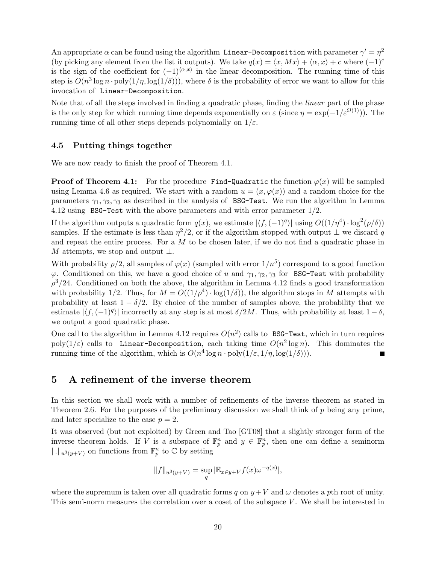An appropriate  $\alpha$  can be found using the algorithm <code>Linear-Decomposition</code> with parameter  $\gamma'=\eta^2$ (by picking any element from the list it outputs). We take  $q(x) = \langle x, Mx \rangle + \langle \alpha, x \rangle + c$  where  $(-1)^c$ is the sign of the coefficient for  $(-1)^{\langle \alpha, x \rangle}$  in the linear decomposition. The running time of this step is  $O(n^3 \log n \cdot \text{poly}(1/\eta, \log(1/\delta)))$ , where  $\delta$  is the probability of error we want to allow for this invocation of Linear-Decomposition.

Note that of all the steps involved in finding a quadratic phase, finding the linear part of the phase is the only step for which running time depends exponentially on  $\varepsilon$  (since  $\eta = \exp(-1/\varepsilon^{\Omega(1)})$ ). The running time of all other steps depends polynomially on  $1/\varepsilon$ .

### 4.5 Putting things together

We are now ready to finish the proof of Theorem 4.1.

**Proof of Theorem 4.1:** For the procedure Find-Quadratic the function  $\varphi(x)$  will be sampled using Lemma 4.6 as required. We start with a random  $u = (x, \varphi(x))$  and a random choice for the parameters  $\gamma_1, \gamma_2, \gamma_3$  as described in the analysis of BSG-Test. We run the algorithm in Lemma 4.12 using BSG-Test with the above parameters and with error parameter 1/2.

If the algorithm outputs a quadratic form  $q(x)$ , we estimate  $|\langle f,(-1)^q\rangle|$  using  $O((1/\eta^4) \cdot \log^2(\rho/\delta))$ samples. If the estimate is less than  $\eta^2/2$ , or if the algorithm stopped with output  $\perp$  we discard q and repeat the entire process. For a  $M$  to be chosen later, if we do not find a quadratic phase in M attempts, we stop and output  $\perp$ .

With probability  $\rho/2$ , all samples of  $\varphi(x)$  (sampled with error  $1/n^5$ ) correspond to a good function  $\varphi$ . Conditioned on this, we have a good choice of u and  $\gamma_1, \gamma_2, \gamma_3$  for BSG-Test with probability  $\rho^3/24$ . Conditioned on both the above, the algorithm in Lemma 4.12 finds a good transformation with probability 1/2. Thus, for  $M = O((1/\rho^4) \cdot \log(1/\delta))$ , the algorithm stops in M attempts with probability at least  $1 - \delta/2$ . By choice of the number of samples above, the probability that we estimate  $|\langle f,(-1)^q \rangle|$  incorrectly at any step is at most  $\delta/2M$ . Thus, with probability at least  $1 - \delta$ , we output a good quadratic phase.

One call to the algorithm in Lemma 4.12 requires  $O(n^2)$  calls to BSG-Test, which in turn requires  $\text{poly}(1/\varepsilon)$  calls to Linear-Decomposition, each taking time  $O(n^2\log n)$ . This dominates the running time of the algorithm, which is  $O(n^4 \log n \cdot \text{poly}(1/\varepsilon, 1/\eta, \log(1/\delta)))$ .

### 5 A refinement of the inverse theorem

In this section we shall work with a number of refinements of the inverse theorem as stated in Theorem 2.6. For the purposes of the preliminary discussion we shall think of p being any prime, and later specialize to the case  $p = 2$ .

It was observed (but not exploited) by Green and Tao [GT08] that a slightly stronger form of the inverse theorem holds. If V is a subspace of  $\mathbb{F}_p^n$  and  $y \in \mathbb{F}_p^n$ , then one can define a seminorm  $\Vert \cdot \Vert_{u^3(y+V)}$  on functions from  $\mathbb{F}_p^n$  to  $\mathbb{C}$  by setting

$$
||f||_{u^{3}(y+V)} = \sup_{q} |\mathbb{E}_{x \in y+V} f(x)\omega^{-q(x)}|,
$$

where the supremum is taken over all quadratic forms q on  $y + V$  and  $\omega$  denotes a pth root of unity. This semi-norm measures the correlation over a coset of the subspace V . We shall be interested in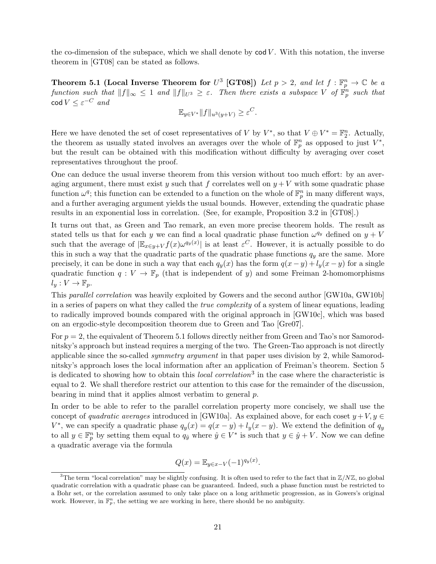the co-dimension of the subspace, which we shall denote by  $\text{cod } V$ . With this notation, the inverse theorem in [GT08] can be stated as follows.

**Theorem 5.1 (Local Inverse Theorem for**  $U^3$  [GT08]) Let  $p > 2$ , and let  $f : \mathbb{F}_p^n \to \mathbb{C}$  be a function such that  $||f||_{\infty} \leq 1$  and  $||f||_{U^3} \geq \varepsilon$ . Then there exists a subspace V of  $\mathbb{F}_p^n$  such that cod  $V \leq \varepsilon^{-C}$  and

$$
\mathbb{E}_{y \in V^*} \|f\|_{u^3(y+V)} \ge \varepsilon^C.
$$

Here we have denoted the set of coset representatives of V by  $V^*$ , so that  $V \oplus V^* = \mathbb{F}_2^n$ . Actually, the theorem as usually stated involves an averages over the whole of  $\mathbb{F}_p^n$  as opposed to just  $V^*$ , but the result can be obtained with this modification without difficulty by averaging over coset representatives throughout the proof.

One can deduce the usual inverse theorem from this version without too much effort: by an averaging argument, there must exist y such that f correlates well on  $y + V$  with some quadratic phase function  $\omega^q$ ; this function can be extended to a function on the whole of  $\mathbb{F}_p^n$  in many different ways, and a further averaging argument yields the usual bounds. However, extending the quadratic phase results in an exponential loss in correlation. (See, for example, Proposition 3.2 in [GT08].)

It turns out that, as Green and Tao remark, an even more precise theorem holds. The result as stated tells us that for each y we can find a local quadratic phase function  $\omega^{q_y}$  defined on  $y + V$ such that the average of  $|\mathbb{E}_{x \in y+V}f(x)\omega^{q_y(x)}|$  is at least  $\varepsilon^C$ . However, it is actually possible to do this in such a way that the quadratic parts of the quadratic phase functions  $q_y$  are the same. More precisely, it can be done in such a way that each  $q_y(x)$  has the form  $q(x - y) + l_y(x - y)$  for a single quadratic function  $q: V \to \mathbb{F}_p$  (that is independent of y) and some Freiman 2-homomorphisms  $l_y: V \to \mathbb{F}_p.$ 

This parallel correlation was heavily exploited by Gowers and the second author [GW10a, GW10b] in a series of papers on what they called the true complexity of a system of linear equations, leading to radically improved bounds compared with the original approach in [GW10c], which was based on an ergodic-style decomposition theorem due to Green and Tao [Gre07].

For  $p = 2$ , the equivalent of Theorem 5.1 follows directly neither from Green and Tao's nor Samorodnitsky's approach but instead requires a merging of the two. The Green-Tao approach is not directly applicable since the so-called symmetry argument in that paper uses division by 2, while Samorodnitsky's approach loses the local information after an application of Freiman's theorem. Section 5 is dedicated to showing how to obtain this *local correlation*<sup>3</sup> in the case where the characteristic is equal to 2. We shall therefore restrict our attention to this case for the remainder of the discussion, bearing in mind that it applies almost verbatim to general p.

In order to be able to refer to the parallel correlation property more concisely, we shall use the concept of quadratic averages introduced in [GW10a]. As explained above, for each coset  $y + V$ ,  $y \in$  $V^*$ , we can specify a quadratic phase  $q_y(x) = q(x - y) + l_y(x - y)$ . We extend the definition of  $q_y$ to all  $y \in \mathbb{F}_p^n$  by setting them equal to  $q_{\hat{y}}$  where  $\hat{y} \in V^*$  is such that  $y \in \hat{y} + V$ . Now we can define a quadratic average via the formula

$$
Q(x) = \mathbb{E}_{y \in x - V}(-1)^{q_y(x)}.
$$

<sup>&</sup>lt;sup>3</sup>The term "local correlation" may be slightly confusing. It is often used to refer to the fact that in  $\mathbb{Z}/N\mathbb{Z}$ , no global quadratic correlation with a quadratic phase can be guaranteed. Indeed, such a phase function must be restricted to a Bohr set, or the correlation assumed to only take place on a long arithmetic progression, as in Gowers's original work. However, in  $\mathbb{F}_p^n$ , the setting we are working in here, there should be no ambiguity.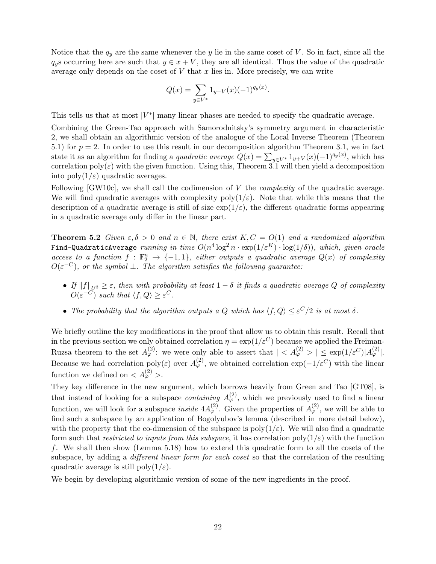Notice that the  $q_y$  are the same whenever the y lie in the same coset of V. So in fact, since all the  $q_y$ s occurring here are such that  $y \in x + V$ , they are all identical. Thus the value of the quadratic average only depends on the coset of  $V$  that  $x$  lies in. More precisely, we can write

$$
Q(x) = \sum_{y \in V^*} 1_{y+V}(x)(-1)^{q_y(x)}.
$$

This tells us that at most  $|V^*|$  many linear phases are needed to specify the quadratic average.

Combining the Green-Tao approach with Samorodnitsky's symmetry argument in characteristic 2, we shall obtain an algorithmic version of the analogue of the Local Inverse Theorem (Theorem 5.1) for  $p = 2$ . In order to use this result in our decomposition algorithm Theorem 3.1, we in fact state it as an algorithm for finding a *quadratic average*  $Q(x) = \sum_{y \in V^*} 1_{y+V}(x)(-1)^{q_y(x)}$ , which has correlation  $poly(\varepsilon)$  with the given function. Using this, Theorem 3.1 will then yield a decomposition into  $poly(1/\varepsilon)$  quadratic averages.

Following  $[GW10c]$ , we shall call the codimension of V the *complexity* of the quadratic average. We will find quadratic averages with complexity poly $(1/\varepsilon)$ . Note that while this means that the description of a quadratic average is still of size  $\exp(1/\varepsilon)$ , the different quadratic forms appearing in a quadratic average only differ in the linear part.

**Theorem 5.2** Given  $\varepsilon, \delta > 0$  and  $n \in \mathbb{N}$ , there exist  $K, C = O(1)$  and a randomized algorithm Find-QuadraticAverage  $\emph{running in time }~ O(n^4 \log^2 n \cdot \exp(1/\varepsilon^K) \cdot \log(1/\delta)), ~which, ~given ~oracle$ access to a function  $f : \mathbb{F}_2^n \to \{-1,1\}$ , either outputs a quadratic average  $Q(x)$  of complexity  $O(\varepsilon^{-C})$ , or the symbol  $\perp$ . The algorithm satisfies the following guarantee:

- If  $||f||_{U^3} \geq \varepsilon$ , then with probability at least  $1 \delta$  it finds a quadratic average Q of complexity  $O(\varepsilon^{-C})$  such that  $\langle f, Q \rangle \geq \varepsilon^{C}$ .
- The probability that the algorithm outputs a Q which has  $\langle f, Q \rangle \leq \varepsilon^{C}/2$  is at most  $\delta$ .

We briefly outline the key modifications in the proof that allow us to obtain this result. Recall that in the previous section we only obtained correlation  $\eta = \exp(1/\varepsilon^C)$  because we applied the Freiman-Ruzsa theorem to the set  $A_{\varphi}^{(2)}$ : we were only able to assert that  $|< A_{\varphi}^{(2)}>| \leq \exp(1/\varepsilon^C)|A_{\varphi}^{(2)}|.$ Because we had correlation poly $(\varepsilon)$  over  $A_{\varphi}^{(2)}$ , we obtained correlation  $\exp(-1/\varepsilon^C)$  with the linear function we defined on  $\langle A_{\varphi}^{(2)} \rangle$ .

They key difference in the new argument, which borrows heavily from Green and Tao [GT08], is that instead of looking for a subspace *containing*  $A_{\varphi}^{(2)}$ , which we previously used to find a linear function, we will look for a subspace *inside*  $4A_{\varphi}^{(2)}$ . Given the properties of  $A_{\varphi}^{(2)}$ , we will be able to find such a subspace by an application of Bogolyubov's lemma (described in more detail below), with the property that the co-dimension of the subspace is  $poly(1/\varepsilon)$ . We will also find a quadratic form such that restricted to inputs from this subspace, it has correlation  $poly(1/\varepsilon)$  with the function f. We shall then show (Lemma 5.18) how to extend this quadratic form to all the cosets of the subspace, by adding a *different linear form for each coset* so that the correlation of the resulting quadratic average is still poly $(1/\varepsilon)$ .

We begin by developing algorithmic version of some of the new ingredients in the proof.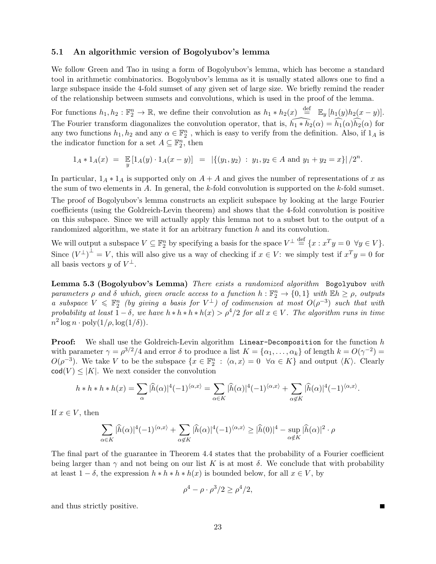### 5.1 An algorithmic version of Bogolyubov's lemma

We follow Green and Tao in using a form of Bogolyubov's lemma, which has become a standard tool in arithmetic combinatorics. Bogolyubov's lemma as it is usually stated allows one to find a large subspace inside the 4-fold sumset of any given set of large size. We briefly remind the reader of the relationship between sumsets and convolutions, which is used in the proof of the lemma.

For functions  $h_1, h_2 : \mathbb{F}_2^n \to \mathbb{R}$ , we define their convolution as  $h_1 * h_2(x) \stackrel{\text{def}}{=} \mathbb{E}_y [h_1(y)h_2(x-y)].$ The Fourier transform diagonalizes the convolution operator, that is,  $\widehat{h_1 * h_2}(\alpha) = \widehat{h_1}(\alpha)\widehat{h_2}(\alpha)$  for any two functions  $h_1, h_2$  and any  $\alpha \in \mathbb{F}_2^n$ , which is easy to verify from the definition. Also, if  $1_A$  is the indicator function for a set  $A \subseteq \mathbb{F}_2^n$ , then

$$
1_A * 1_A(x) = \mathbb{E}[1_A(y) \cdot 1_A(x-y)] = |\{(y_1, y_2) : y_1, y_2 \in A \text{ and } y_1 + y_2 = x\}|/2^n.
$$

In particular,  $1_A * 1_A$  is supported only on  $A + A$  and gives the number of representations of x as the sum of two elements in A. In general, the k-fold convolution is supported on the k-fold sumset.

The proof of Bogolyubov's lemma constructs an explicit subspace by looking at the large Fourier coefficients (using the Goldreich-Levin theorem) and shows that the 4-fold convolution is positive on this subspace. Since we will actually apply this lemma not to a subset but to the output of a randomized algorithm, we state it for an arbitrary function h and its convolution.

We will output a subspace  $V \subseteq \mathbb{F}_2^n$  by specifying a basis for the space  $V^{\perp} \stackrel{\text{def}}{=} \{x : x^T y = 0 \ \forall y \in V\}.$ Since  $(V^{\perp})^{\perp} = V$ , this will also give us a way of checking if  $x \in V$ : we simply test if  $x^T y = 0$  for all basis vectors y of  $V^{\perp}$ .

Lemma 5.3 (Bogolyubov's Lemma) There exists a randomized algorithm Bogolyubov with parameters  $\rho$  and  $\delta$  which, given oracle access to a function  $h : \mathbb{F}_2^n \to \{0,1\}$  with  $\mathbb{E}h \geq \rho$ , outputs a subspace  $V \leq \mathbb{F}_2^n$  (by giving a basis for  $V^{\perp}$ ) of codimension at most  $O(\rho^{-3})$  such that with probability at least  $1 - \delta$ , we have  $h * h * h * h(x) > \rho^4/2$  for all  $x \in V$ . The algorithm runs in time  $n^2 \log n \cdot \text{poly}(1/\rho, \log(1/\delta)).$ 

**Proof:** We shall use the Goldreich-Levin algorithm Linear-Decomposition for the function h with parameter  $\gamma = \rho^{3/2}/4$  and error  $\delta$  to produce a list  $K = {\alpha_1, \dots, \alpha_k}$  of length  $k = O(\gamma^{-2})$  $O(\rho^{-3})$ . We take V to be the subspace  $\{x \in \mathbb{F}_2^n : \langle \alpha, x \rangle = 0 \ \forall \alpha \in K\}$  and output  $\langle K \rangle$ . Clearly  $\text{cod}(V) \leq |K|$ . We next consider the convolution

$$
h * h * h * h(x) = \sum_{\alpha} |\widehat{h}(\alpha)|^4 (-1)^{\langle \alpha, x \rangle} = \sum_{\alpha \in K} |\widehat{h}(\alpha)|^4 (-1)^{\langle \alpha, x \rangle} + \sum_{\alpha \notin K} |\widehat{h}(\alpha)|^4 (-1)^{\langle \alpha, x \rangle}.
$$

If  $x \in V$ , then

$$
\sum_{\alpha \in K} |\widehat{h}(\alpha)|^4 (-1)^{\langle \alpha, x \rangle} + \sum_{\alpha \notin K} |\widehat{h}(\alpha)|^4 (-1)^{\langle \alpha, x \rangle} \ge |\widehat{h}(0)|^4 - \sup_{\alpha \notin K} |\widehat{h}(\alpha)|^2 \cdot \rho
$$

The final part of the guarantee in Theorem 4.4 states that the probability of a Fourier coefficient being larger than  $\gamma$  and not being on our list K is at most  $\delta$ . We conclude that with probability at least  $1 - \delta$ , the expression  $h * h * h(x)$  is bounded below, for all  $x \in V$ , by

$$
\rho^4 - \rho \cdot \rho^3/2 \ge \rho^4/2,
$$

П

and thus strictly positive.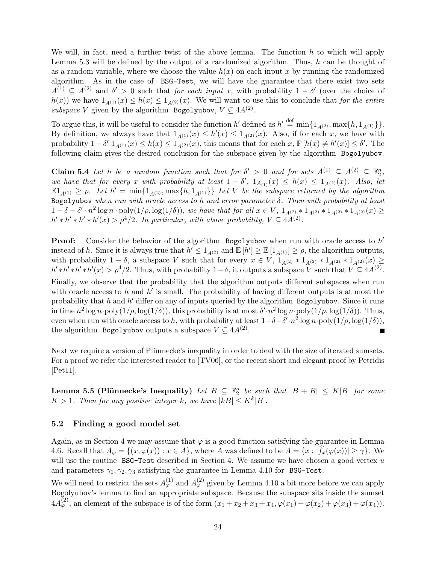We will, in fact, need a further twist of the above lemma. The function  $h$  to which will apply Lemma 5.3 will be defined by the output of a randomized algorithm. Thus,  $h$  can be thought of as a random variable, where we choose the value  $h(x)$  on each input x by running the randomized algorithm. As in the case of BSG-Test, we will have the guarantee that there exist two sets  $A^{(1)} \subseteq A^{(2)}$  and  $\delta' > 0$  such that *for each input x*, with probability  $1 - \delta'$  (over the choice of  $h(x)$ ) we have  $1_{A(1)}(x) \leq h(x) \leq 1_{A(2)}(x)$ . We will want to use this to conclude that for the entire subspace V given by the algorithm Bogolyubov,  $V \subseteq 4A^{(2)}$ .

To argue this, it will be useful to consider the function  $h'$  defined as  $h' \stackrel{\text{def}}{=} \min\{1_{A^{(2)}}, \max\{h, 1_{A^{(1)}}\}\}.$ By definition, we always have that  $1_{A^{(1)}}(x) \le h'(x) \le 1_{A^{(2)}}(x)$ . Also, if for each x, we have with probability  $1 - \delta' 1_{A^{(1)}}(x) \leq h(x) \leq 1_{A^{(2)}}(x)$ , this means that for each  $x, \mathbb{P}[h(x) \neq h'(x)] \leq \delta'$ . The following claim gives the desired conclusion for the subspace given by the algorithm Bogolyubov.

**Claim 5.4** Let h be a random function such that for  $\delta' > 0$  and for sets  $A^{(1)} \subseteq A^{(2)} \subseteq \mathbb{F}_2^n$ , we have that for every x with probability at least  $1 - \delta'$ ,  $1_{A_{(1)}}(x) \leq h(x) \leq 1_{A^{(2)}}(x)$ . Also, let  $\mathbb{E} 1_{A^{(1)}} \geq \rho$ . Let  $h' = \min\{1_{A^{(2)}}, \max\{h, 1_{A^{(1)}}\}\}\$  Let V be the subspace returned by the algorithm Bogolyubov when run with oracle access to h and error parameter  $\delta$ . Then with probability at least  $1 - \delta - \delta' \cdot n^2 \log n \cdot \text{poly}(1/\rho, \log(1/\delta)),$  we have that for all  $x \in V$ ,  $1_{A^{(2)} \times 1_{A^{(2)}} \times 1_{A^{(2)}} \times 1_{A^{(2)}}}(x) \ge$  $h' * h' * h' * h'(x) > \rho^4/2$ . In particular, with above probability,  $V \subseteq 4A^{(2)}$ .

**Proof:** Consider the behavior of the algorithm Bogolyubov when run with oracle access to  $h'$ instead of h. Since it is always true that  $h' \leq 1_{A^{(2)}}$  and  $\mathbb{E}[h'] \geq \mathbb{E}[1_{A^{(1)}}] \geq \rho$ , the algorithm outputs, with probability  $1 - \delta$ , a subspace V such that for every  $x \in V$ ,  $1_{A^{(2)}} * 1_{A^{(2)}} * 1_{A^{(2)}} (x) \ge$  $h' * h' * h' * h'(x) > \rho^4/2$ . Thus, with probability  $1-\delta$ , it outputs a subspace V such that  $V \subseteq 4A^{(2)}$ . Finally, we observe that the probability that the algorithm outputs different subspaces when run with oracle access to  $h$  and  $h'$  is small. The probability of having different outputs is at most the probability that  $h$  and  $h'$  differ on any of inputs queried by the algorithm Bogolyubov. Since it runs in time  $n^2 \log n \cdot \text{poly}(1/\rho, \log(1/\delta))$ , this probability is at most  $\delta' \cdot n^2 \log n \cdot \text{poly}(1/\rho, \log(1/\delta))$ . Thus, even when run with oracle access to h, with probability at least  $1-\delta-\delta'\cdot n^2\log n\cdot\text{poly}(1/\rho,\log(1/\delta)),$ the algorithm Bogolyubov outputs a subspace  $V \subseteq 4A^{(2)}$ .  $\blacksquare$ 

Next we require a version of Plünnecke's inequality in order to deal with the size of iterated sumsets. For a proof we refer the interested reader to [TV06], or the recent short and elegant proof by Petridis [Pet11].

Lemma 5.5 (Plünnecke's Inequality) Let  $B \subseteq \mathbb{F}_2^n$  be such that  $|B + B| \leq K|B|$  for some  $K > 1$ . Then for any positive integer k, we have  $|kB| \leq K^k|B|$ .

### 5.2 Finding a good model set

Again, as in Section 4 we may assume that  $\varphi$  is a good function satisfying the guarantee in Lemma 4.6. Recall that  $A_{\varphi} = \{(x, \varphi(x)) : x \in A\}$ , where A was defined to be  $A = \{x : |\hat{f}_x(\varphi(x))| \geq \gamma\}$ . We will use the routine  $BSG-Test$  described in Section 4. We assume we have chosen a good vertex  $u$ and parameters  $\gamma_1, \gamma_2, \gamma_3$  satisfying the guarantee in Lemma 4.10 for BSG-Test.

We will need to restrict the sets  $A_{\varphi}^{(1)}$  and  $A_{\varphi}^{(2)}$  given by Lemma 4.10 a bit more before we can apply Bogolyubov's lemma to find an appropriate subspace. Because the subspace sits inside the sumset  $4A_{\varphi}^{(2)}$ , an element of the subspace is of the form  $(x_1+x_2+x_3+x_4, \varphi(x_1)+\varphi(x_2)+\varphi(x_3)+\varphi(x_4)).$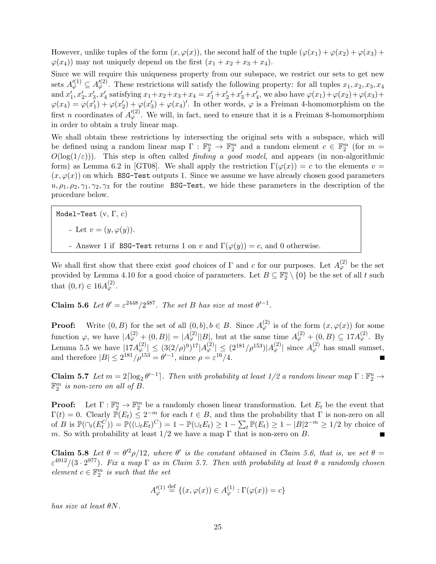However, unlike tuples of the form  $(x, \varphi(x))$ , the second half of the tuple  $(\varphi(x_1) + \varphi(x_2) + \varphi(x_3) + \varphi(x_4))$  $\varphi(x_4)$  may not uniquely depend on the first  $(x_1 + x_2 + x_3 + x_4)$ .

Since we will require this uniqueness property from our subspace, we restrict our sets to get new sets  $A_{\varphi}^{\prime(1)} \subseteq A_{\varphi}^{\prime(2)}$ . These restrictions will satisfy the following property: for all tuples  $x_1, x_2, x_3, x_4$ and  $x'_1, x'_2, x'_3, x'_4$  satisfying  $x_1+x_2+x_3+x_4 = x'_1+x'_2+x'_3+x'_4$ , we also have  $\varphi(x_1)+\varphi(x_2)+\varphi(x_3)+$  $\varphi(x_4) = \varphi(x_1') + \varphi(x_2') + \varphi(x_3') + \varphi(x_4)'$ . In other words,  $\varphi$  is a Freiman 4-homomorphism on the first n coordinates of  $A_{\varphi}^{(2)}$ . We will, in fact, need to ensure that it is a Freiman 8-homomorphism in order to obtain a truly linear map.

We shall obtain these restrictions by intersecting the original sets with a subspace, which will be defined using a random linear map  $\Gamma : \mathbb{F}_2^n \to \mathbb{F}_2^m$  and a random element  $c \in \mathbb{F}_2^m$  (for  $m =$  $O(\log(1/\varepsilon))$ ). This step is often called *finding a good model*, and appears (in non-algorithmic form) as Lemma 6.2 in [GT08]. We shall apply the restriction  $\Gamma(\varphi(x)) = c$  to the elements  $v =$  $(x, \varphi(x))$  on which BSG-Test outputs 1. Since we assume we have already chosen good parameters  $u, \rho_1, \rho_2, \gamma_1, \gamma_2, \gamma_3$  for the routine BSG-Test, we hide these parameters in the description of the procedure below.

Model-Test  $(v, \Gamma, c)$ - Let  $v = (y, \varphi(y)).$ 

- Answer 1 if BSG-Test returns 1 on v and  $\Gamma(\varphi(y)) = c$ , and 0 otherwise.

We shall first show that there exist good choices of  $\Gamma$  and c for our purposes. Let  $A_{\varphi}^{(2)}$  be the set provided by Lemma 4.10 for a good choice of parameters. Let  $B \subseteq \mathbb{F}_2^n \setminus \{0\}$  be the set of all t such that  $(0, t) \in 16A_{\varphi}^{(2)}$ .

Claim 5.6 Let  $\theta' = \varepsilon^{2448}/2^{487}$ . The set B has size at most  $\theta'^{-1}$ .

**Proof:** Write  $(0, B)$  for the set of all  $(0, b), b \in B$ . Since  $A_{\varphi}^{(2)}$  is of the form  $(x, \varphi(x))$  for some function  $\varphi$ , we have  $|A_{\varphi}^{(2)} + (0, B)| = |A_{\varphi}^{(2)}||B|$ , but at the same time  $A_{\varphi}^{(2)} + (0, B) \subseteq 17A_{\varphi}^{(2)}$ . By Lemma 5.5 we have  $|17A_{\varphi}^{(2)}| \leq (3(2/\rho)^9)^{17}|A_{\varphi}^{(2)}| \leq (2^{181}/\rho^{153})|A_{\varphi}^{(2)}|$  since  $A_{\varphi}^{(2)}$  has small sumset, and therefore  $|B| \leq 2^{181}/\rho^{153} = \theta'^{-1}$ , since  $\rho = \varepsilon^{16}/4$ .

Claim 5.7 Let  $m = 2 \lceil \log_2 \theta^{-1} \rceil$ . Then with probability at least  $1/2$  a random linear map  $\Gamma : \mathbb{F}_2^n \to$  $\mathbb{F}_2^m$  is non-zero on all of B.

**Proof:** Let  $\Gamma : \mathbb{F}_2^n \to \mathbb{F}_2^m$  be a randomly chosen linear transformation. Let  $E_t$  be the event that  $\Gamma(t) = 0$ . Clearly  $\overline{\mathbb{P}}(E_t) \leq 2^{-m}$  for each  $t \in B$ , and thus the probability that  $\Gamma$  is non-zero on all of B is  $\mathbb{P}(\bigcap_{t} (E_t^C)) = \mathbb{P}((\bigcup_t E_t)^C) = 1 - \mathbb{P}(\bigcup_t E_t) \geq 1 - \sum_t \mathbb{P}(E_t) \geq 1 - |B|2^{-m} \geq 1/2$  by choice of m. So with probability at least  $1/2$  we have a map  $\Gamma$  that is non-zero on B.

**Claim 5.8** Let  $\theta = \theta'^2 \rho/12$ , where  $\theta'$  is the constant obtained in Claim 5.6, that is, we set  $\theta =$  $\varepsilon^{4912}/(3\cdot 2^{977})$ . Fix a map  $\Gamma$  as in Claim 5.7. Then with probability at least  $\theta$  a randomly chosen element  $c \in \mathbb{F}_2^m$  is such that the set

$$
A_{\varphi}^{\prime(1)} \stackrel{\text{def}}{=} \{ (x, \varphi(x)) \in A_{\varphi}^{(1)} : \Gamma(\varphi(x)) = c \}
$$

has size at least θN.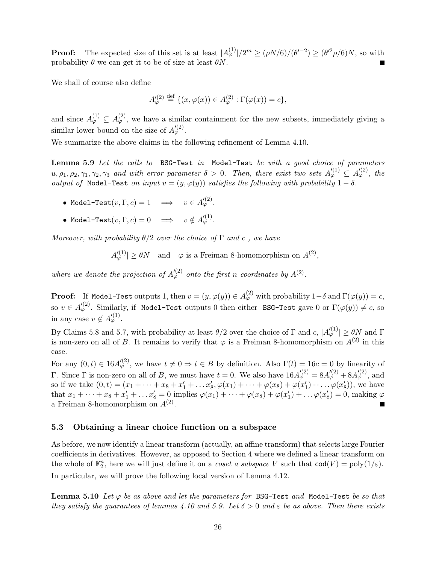**Proof:** The expected size of this set is at least  $|A_{\varphi}^{(1)}|/2^m \geq (\rho N/6)/(\theta'^{-2}) \geq (\theta'^2 \rho/6)N$ , so with probability  $\theta$  we can get it to be of size at least  $\theta N$ .

We shall of course also define

$$
A'^{(2)}_{\varphi}\overset{\text{def}}{=}\{(x,\varphi(x))\in A^{(2)}_{\varphi}:\Gamma(\varphi(x))=c\},
$$

and since  $A_{\varphi}^{(1)} \subseteq A_{\varphi}^{(2)}$ , we have a similar containment for the new subsets, immediately giving a similar lower bound on the size of  $A_{\varphi}^{\prime(2)}$ .

We summarize the above claims in the following refinement of Lemma 4.10.

Lemma 5.9 Let the calls to BSG-Test in Model-Test be with a good choice of parameters  $u, \rho_1, \rho_2, \gamma_1, \gamma_2, \gamma_3$  and with error parameter  $\delta > 0$ . Then, there exist two sets  $A'^{(1)}_{\varphi} \subseteq A'^{(2)}_{\varphi}$ , the output of Model-Test on input  $v = (y, \varphi(y))$  satisfies the following with probability  $1 - \delta$ .

- Model-Test $(v, \Gamma, c) = 1 \quad \Longrightarrow \quad v \in A'^{(2)}_\varphi.$
- Model-Test $(v, \Gamma, c) = 0 \quad \Longrightarrow \quad v \notin A'^{(1)}_{\varphi}.$

Moreover, with probability  $\theta/2$  over the choice of  $\Gamma$  and c, we have

 $|A_{\varphi}^{\prime(1)}| \ge \theta N$  and  $\varphi$  is a Freiman 8-homomorphism on  $A^{(2)}$ ,

where we denote the projection of  $A_{\varphi}^{(2)}$  onto the first n coordinates by  $A^{(2)}$ .

**Proof:** If Model-Test outputs 1, then  $v=(y,\varphi(y))\in A_\varphi^{(2)}$  with probability  $1-\delta$  and  $\Gamma(\varphi(y))=c,$ so  $v\in A_{\varphi}^{(\mathsf{2})}.$  Similarly, if Model-Test outputs 0 then either BSG-Test gave 0 or  $\Gamma(\varphi(y))\neq c,$  so in any case  $v \notin A_{\varphi}^{\prime(1)}$ .

By Claims 5.8 and 5.7, with probability at least  $\theta/2$  over the choice of  $\Gamma$  and  $c, |A_{\varphi}^{\prime(1)}| \ge \theta N$  and  $\Gamma$ is non-zero on all of B. It remains to verify that  $\varphi$  is a Freiman 8-homomorphism on  $A^{(2)}$  in this case.

For any  $(0, t) \in 16A_{\varphi}^{(2)}$ , we have  $t \neq 0 \Rightarrow t \in B$  by definition. Also  $\Gamma(t) = 16c = 0$  by linearity of Γ. Since Γ is non-zero on all of B, we must have  $t = 0$ . We also have  $16A_{\varphi}^{\prime(2)} = 8A_{\varphi}^{\prime(2)} + 8A_{\varphi}^{\prime(2)}$ , and so if we take  $(0,t) = (x_1 + \cdots + x_8 + x'_1 + \ldots x'_8, \varphi(x_1) + \cdots + \varphi(x_8) + \varphi(x'_1) + \ldots \varphi(x'_8)),$  we have that  $x_1 + \cdots + x_8 + x'_1 + \ldots x'_8 = 0$  implies  $\varphi(x_1) + \cdots + \varphi(x_8) + \varphi(x'_1) + \ldots \varphi(x'_8) = 0$ , making  $\varphi$ a Freiman 8-homomorphism on  $A^{(2)}$ .

### 5.3 Obtaining a linear choice function on a subspace

As before, we now identify a linear transform (actually, an affine transform) that selects large Fourier coefficients in derivatives. However, as opposed to Section 4 where we defined a linear transform on the whole of  $\mathbb{F}_2^n$ , here we will just define it on a *coset a subspace* V such that  $\text{cod}(V) = \text{poly}(1/\varepsilon)$ . In particular, we will prove the following local version of Lemma 4.12.

**Lemma 5.10** Let  $\varphi$  be as above and let the parameters for BSG-Test and Model-Test be so that they satisfy the quarantees of lemmas 4.10 and 5.9. Let  $\delta > 0$  and  $\varepsilon$  be as above. Then there exists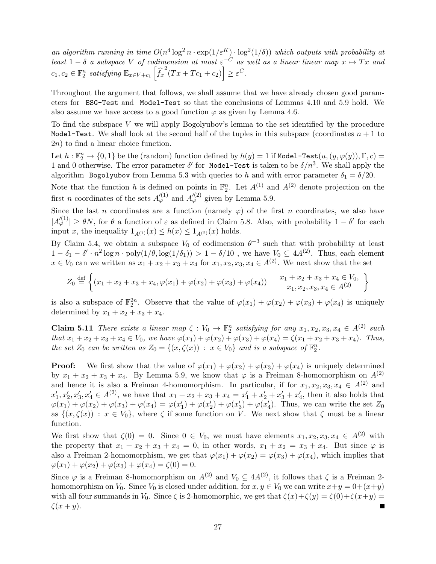an algorithm running in time  $O(n^4 \log^2 n \cdot \exp(1/\varepsilon^K) \cdot \log^2(1/\delta))$  which outputs with probability at least  $1-\delta$  a subspace V of codimension at most  $\varepsilon^{-C}$  as well as a linear linear map  $x \mapsto Tx$  and  $c_1, c_2 \in \mathbb{F}_2^n$  satisfying  $\mathbb{E}_{x \in V + c_1} \left[ \widehat{f_x}^2(Tx + Tc_1 + c_2) \right] \geq \varepsilon^C$ .

Throughout the argument that follows, we shall assume that we have already chosen good parameters for BSG-Test and Model-Test so that the conclusions of Lemmas 4.10 and 5.9 hold. We also assume we have access to a good function  $\varphi$  as given by Lemma 4.6.

To find the subspace  $V$  we will apply Bogolyubov's lemma to the set identified by the procedure Model-Test. We shall look at the second half of the tuples in this subspace (coordinates  $n+1$  to 2n) to find a linear choice function.

Let  $h: \mathbb{F}_2^n \to \{0,1\}$  be the (random) function defined by  $h(y) = 1$  if Model-Test $(u, (y, \varphi(y)), \Gamma, c) =$ 1 and 0 otherwise. The error parameter  $\delta'$  for Model-Test is taken to be  $\delta/n^3$ . We shall apply the algorithm Bogolyubov from Lemma 5.3 with queries to h and with error parameter  $\delta_1 = \delta/20$ .

Note that the function h is defined on points in  $\mathbb{F}_2^n$ . Let  $A^{(1)}$  and  $A^{(2)}$  denote projection on the first *n* coordinates of the sets  $A_{\varphi}^{\prime(1)}$  and  $A_{\varphi}^{\prime(2)}$  given by Lemma 5.9.

Since the last n coordinates are a function (namely  $\varphi$ ) of the first n coordinates, we also have  $|A_{\varphi}^{(1)}| \geq \theta N$ , for  $\theta$  a function of  $\varepsilon$  as defined in Claim 5.8. Also, with probability  $1-\delta'$  for each input x, the inequality  $1_{A(1)}(x) \leq h(x) \leq 1_{A(2)}(x)$  holds.

By Claim 5.4, we obtain a subspace  $V_0$  of codimension  $\theta^{-3}$  such that with probability at least  $1-\delta_1-\delta'\cdot n^2\log n\cdot\mathrm{poly}(1/\theta,\log(1/\delta_1))>1-\delta/10$ , we have  $V_0\subseteq 4A^{(2)}$ . Thus, each element  $x \in V_0$  can we written as  $x_1 + x_2 + x_3 + x_4$  for  $x_1, x_2, x_3, x_4 \in A^{(2)}$ . We next show that the set

$$
Z_0 \stackrel{\text{def}}{=} \left\{ (x_1 + x_2 + x_3 + x_4, \varphi(x_1) + \varphi(x_2) + \varphi(x_3) + \varphi(x_4)) \middle| \begin{array}{c} x_1 + x_2 + x_3 + x_4 \in V_0, \\ x_1, x_2, x_3, x_4 \in A^{(2)} \end{array} \right\}
$$

is also a subspace of  $\mathbb{F}_2^{2n}$ . Observe that the value of  $\varphi(x_1) + \varphi(x_2) + \varphi(x_3) + \varphi(x_4)$  is uniquely determined by  $x_1 + x_2 + x_3 + x_4$ .

**Claim 5.11** There exists a linear map  $\zeta : V_0 \to \mathbb{F}_2^n$  satisfying for any  $x_1, x_2, x_3, x_4 \in A^{(2)}$  such that  $x_1 + x_2 + x_3 + x_4 \in V_0$ , we have  $\varphi(x_1) + \varphi(x_2) + \varphi(x_3) + \varphi(x_4) = \zeta(x_1 + x_2 + x_3 + x_4)$ . Thus, the set  $Z_0$  can be written as  $Z_0 = \{(x, \zeta(x)) : x \in V_0\}$  and is a subspace of  $\mathbb{F}_2^n$ .

**Proof:** We first show that the value of  $\varphi(x_1) + \varphi(x_2) + \varphi(x_3) + \varphi(x_4)$  is uniquely determined by  $x_1 + x_2 + x_3 + x_4$ . By Lemma 5.9, we know that  $\varphi$  is a Freiman 8-homomorphism on  $A^{(2)}$ and hence it is also a Freiman 4-homomorphism. In particular, if for  $x_1, x_2, x_3, x_4 \in A^{(2)}$  and  $x'_1, x'_2, x'_3, x'_4 \in A^{(2)}$ , we have that  $x_1 + x_2 + x_3 + x_4 = x'_1 + x'_2 + x'_3 + x'_4$ , then it also holds that  $\varphi(x_1) + \varphi(x_2) + \varphi(x_3) + \varphi(x_4) = \varphi(x_1') + \varphi(x_2') + \varphi(x_3') + \varphi(x_4')$ . Thus, we can write the set  $Z_0$ as  $\{(x,\zeta(x)) : x \in V_0\}$ , where  $\zeta$  if some function on V. We next show that  $\zeta$  must be a linear function.

We first show that  $\zeta(0) = 0$ . Since  $0 \in V_0$ , we must have elements  $x_1, x_2, x_3, x_4 \in A^{(2)}$  with the property that  $x_1 + x_2 + x_3 + x_4 = 0$ , in other words,  $x_1 + x_2 = x_3 + x_4$ . But since  $\varphi$  is also a Freiman 2-homomorphism, we get that  $\varphi(x_1) + \varphi(x_2) = \varphi(x_3) + \varphi(x_4)$ , which implies that  $\varphi(x_1) + \varphi(x_2) + \varphi(x_3) + \varphi(x_4) = \zeta(0) = 0.$ 

Since  $\varphi$  is a Freiman 8-homomorphism on  $A^{(2)}$  and  $V_0 \subseteq 4A^{(2)}$ , it follows that  $\zeta$  is a Freiman 2homomorphism on  $V_0$ . Since  $V_0$  is closed under addition, for  $x, y \in V_0$  we can write  $x+y = 0+(x+y)$ with all four summands in  $V_0$ . Since  $\zeta$  is 2-homomorphic, we get that  $\zeta(x)+\zeta(y)=\zeta(0)+\zeta(x+y)=$  $\zeta(x+y)$ . П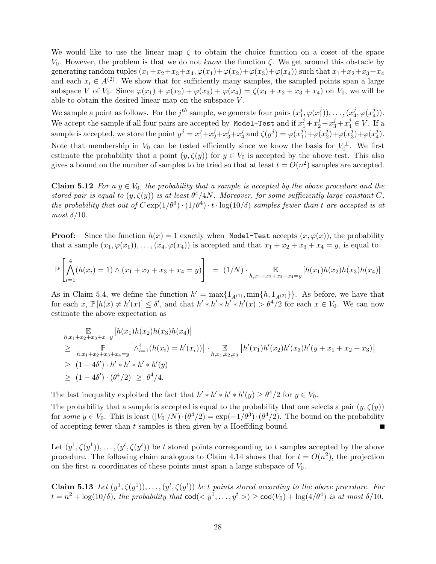We would like to use the linear map  $\zeta$  to obtain the choice function on a coset of the space V<sub>0</sub>. However, the problem is that we do not know the function  $\zeta$ . We get around this obstacle by generating random tuples  $(x_1+x_2+x_3+x_4, \varphi(x_1)+\varphi(x_2)+\varphi(x_3)+\varphi(x_4))$  such that  $x_1+x_2+x_3+x_4$ and each  $x_i \in A^{(2)}$ . We show that for sufficiently many samples, the sampled points span a large subspace V of V<sub>0</sub>. Since  $\varphi(x_1) + \varphi(x_2) + \varphi(x_3) + \varphi(x_4) = \zeta(x_1 + x_2 + x_3 + x_4)$  on V<sub>0</sub>, we will be able to obtain the desired linear map on the subspace V .

We sample a point as follows. For the  $j^{th}$  sample, we generate four pairs  $(x_1^j)$  $_{1}^{j},\varphi(x_{1}^{j}% ,\theta(x_{1}^{j}))$  $\binom{j}{1}), \ldots, \binom{x_4^j}{k}$  $_{4}^{j},\varphi(x_{4}^{j}% ,\theta(x_{4}^{j}))=\phi(x_{4}^{j},\varphi(x_{4}^{j}))$  $_{4}^{j}$ )). We accept the sample if all four pairs are accepted by Model-Test and if  $x_1^j + x_2^j + x_3^j + x_4^j \in V$ . If a sample is accepted, we store the point  $y^j = x_1^j + x_2^j + x_3^j + x_4^j$  $j_4$  and  $\zeta(y^j) = \varphi(x_1^j)$  $j_1^j$  +  $\varphi(x_2^j)$  $(x_3^j) + \varphi(x_3^j)$  $(y_3^j)+\varphi(x_4^j)$  $_{4}^{j}).$ 

Note that membership in  $V_0$  can be tested efficiently since we know the basis for  $V_0^{\perp}$ . We first estimate the probability that a point  $(y, \zeta(y))$  for  $y \in V_0$  is accepted by the above test. This also gives a bound on the number of samples to be tried so that at least  $t = O(n^2)$  samples are accepted.

Claim 5.12 For a  $y \in V_0$ , the probability that a sample is accepted by the above procedure and the stored pair is equal to  $(y,\zeta(y))$  is at least  $\theta^4/4N$ . Moreover, for some sufficiently large constant C, the probability that out of  $C \exp(1/\theta^3) \cdot (1/\theta^4) \cdot t \cdot \log(10/\delta)$  samples fewer than t are accepted is at most  $\delta/10$ .

**Proof:** Since the function  $h(x) = 1$  exactly when Model-Test accepts  $(x, \varphi(x))$ , the probability that a sample  $(x_1, \varphi(x_1)), \ldots, (x_4, \varphi(x_4))$  is accepted and that  $x_1 + x_2 + x_3 + x_4 = y$ , is equal to

$$
\mathbb{P}\left[\bigwedge_{i=1}^{4} (h(x_i) = 1) \wedge (x_1 + x_2 + x_3 + x_4 = y)\right] = (1/N) \cdot \mathbb{E}_{h, x_1 + x_2 + x_3 + x_4 = y} [h(x_1)h(x_2)h(x_3)h(x_4)]
$$

As in Claim 5.4, we define the function  $h' = \max\{1_{A^{(1)}}, \min\{h, 1_{A^{(2)}}\}\}\.$  As before, we have that for each  $x, \mathbb{P}[h(x) \neq h'(x)] \leq \delta'$ , and that  $h' * h' * h'(x) > \theta^4/2$  for each  $x \in V_0$ . We can now estimate the above expectation as

$$
\begin{aligned}\n&\mathbb{E} & \mathbb{E}_{h,x_1+x_2+x_3+x_3+y_4} [h(x_1)h(x_2)h(x_3)h(x_4)] \\
&\geq \mathbb{P} & \mathbb{P}_{h,x_1+x_2+x_3+x_4=y} \left[ \wedge_{i=1}^4 (h(x_i) = h'(x_i)) \right] \cdot \mathbb{E}_{h,x_1,x_2,x_3} \left[ h'(x_1)h'(x_2)h'(x_3)h'(y+x_1+x_2+x_3) \right] \\
&\geq (1-4\delta') \cdot h' * h' * h' * h'(y) \\
&\geq (1-4\delta') \cdot (\theta^4/2) \geq \theta^4/4.\n\end{aligned}
$$

The last inequality exploited the fact that  $h' * h' * h' * h'(y) \geq \theta^4/2$  for  $y \in V_0$ .

The probability that a sample is accepted is equal to the probability that one selects a pair  $(y, \zeta(y))$ for some  $y \in V_0$ . This is least  $(|V_0|/N) \cdot (\theta^4/2) = \exp(-1/\theta^3) \cdot (\theta^4/2)$ . The bound on the probability of accepting fewer than t samples is then given by a Hoeffding bound.

Let  $(y^1, \zeta(y^1)), \ldots, (y^t, \zeta(y^t))$  be t stored points corresponding to t samples accepted by the above procedure. The following claim analogous to Claim 4.14 shows that for  $t = O(n^2)$ , the projection on the first *n* coordinates of these points must span a large subspace of  $V_0$ .

**Claim 5.13** Let  $(y^1, \zeta(y^1)), \ldots, (y^t, \zeta(y^t))$  be t points stored according to the above procedure. For  $t = n^2 + \log(10/\delta)$ , the probability that  $\text{cod}(*y*<sub>1</sub>,..., *y*<sup>t</sup>) \geq \text{cod}(V_0) + \log(4/\theta^4)$  is at most  $\delta/10$ .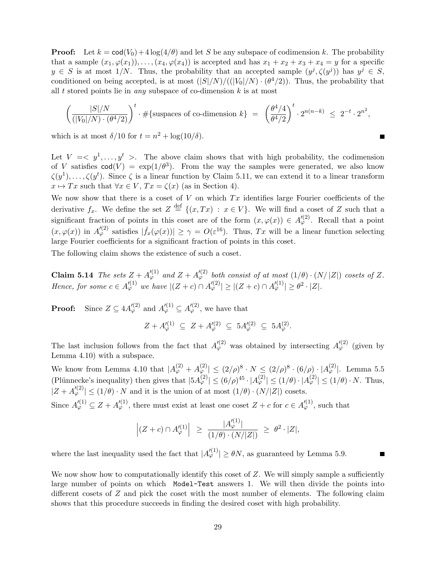**Proof:** Let  $k = \text{cod}(V_0) + 4 \log(4/\theta)$  and let S be any subspace of codimension k. The probability that a sample  $(x_1, \varphi(x_1)), \ldots, (x_4, \varphi(x_4))$  is accepted and has  $x_1 + x_2 + x_3 + x_4 = y$  for a specific  $y \in S$  is at most  $1/N$ . Thus, the probability that an accepted sample  $(y^{j}, \zeta(y^{j}))$  has  $y^{j} \in S$ , conditioned on being accepted, is at most  $(|S|/N)/((|V_0|/N) \cdot (\theta^4/2))$ . Thus, the probability that all t stored points lie in *any* subspace of co-dimension  $k$  is at most

$$
\left(\frac{|S|/N}{(|V_0|/N) \cdot (\theta^4/2)}\right)^t \cdot \#\{\text{supaces of co-dimension } k\} = \left(\frac{\theta^4/4}{\theta^4/2}\right)^t \cdot 2^{n(n-k)} \le 2^{-t} \cdot 2^{n^2},
$$

which is at most  $\delta/10$  for  $t = n^2 + \log(10/\delta)$ .

Let  $V = \langle y^1, \ldots, y^t \rangle$ . The above claim shows that with high probability, the codimension of V satisfies  $\text{cod}(V) = \exp(1/\theta^3)$ . From the way the samples were generated, we also know  $\zeta(y^1),\ldots,\zeta(y^t)$ . Since  $\zeta$  is a linear function by Claim 5.11, we can extend it to a linear transform  $x \mapsto Tx$  such that  $\forall x \in V$ ,  $Tx = \zeta(x)$  (as in Section 4).

We now show that there is a coset of  $V$  on which  $Tx$  identifies large Fourier coefficients of the derivative  $f_x$ . We define the set  $Z \stackrel{\text{def}}{=} \{(x, Tx) : x \in V\}$ . We will find a coset of Z such that a significant fraction of points in this coset are of the form  $(x, \varphi(x)) \in A'^{(2)}_{\varphi}$ . Recall that a point  $(x,\varphi(x))$  in  $A_{\varphi}^{(2)}$  satisfies  $|\hat{f}_x(\varphi(x))| \geq \gamma = O(\varepsilon^{16})$ . Thus, Tx will be a linear function selecting large Fourier coefficients for a significant fraction of points in this coset.

The following claim shows the existence of such a coset.

**Claim 5.14** The sets  $Z + A_{\varphi}^{\prime(1)}$  and  $Z + A_{\varphi}^{\prime(2)}$  both consist of at most  $(1/\theta) \cdot (N/|Z|)$  cosets of Z. Hence, for some  $c \in A_{\varphi}^{\prime(1)}$  we have  $|(Z + c) \cap A_{\varphi}^{\prime(2)}| \geq |(Z + c) \cap A_{\varphi}^{\prime(1)}| \geq \theta^2 \cdot |Z|$ .

**Proof:** Since  $Z \subseteq 4A_{\varphi}^{\prime(2)}$  and  $A_{\varphi}^{\prime(1)} \subseteq A_{\varphi}^{\prime(2)}$ , we have that

$$
Z + A'^{(1)}_{\varphi} \ \subseteq \ Z + A'^{(2)}_{\varphi} \ \subseteq \ 5A'^{(2)}_{\varphi} \ \subseteq \ 5A^{(2)}_{\varphi}.
$$

The last inclusion follows from the fact that  $A_{\varphi}^{(2)}$  was obtained by intersecting  $A_{\varphi}^{(2)}$  (given by Lemma 4.10) with a subspace.

We know from Lemma 4.10 that  $|A_{\varphi}^{(2)} + A_{\varphi}^{(2)}| \le (2/\rho)^8 \cdot N \le (2/\rho)^8 \cdot (6/\rho) \cdot |A_{\varphi}^{(2)}|$ . Lemma 5.5 (Plünnecke's inequality) then gives that  $|5A_{\varphi}^{(2)}| \leq (6/\rho)^{45} \cdot |A_{\varphi}^{(2)}| \leq (1/\theta) \cdot |A_{\varphi}^{(2)}| \leq (1/\theta) \cdot N$ . Thus,  $|Z + A_{\varphi}^{\prime(2)}| \leq (1/\theta) \cdot N$  and it is the union of at most  $(1/\theta) \cdot (N/|Z|)$  cosets.

Since  $A_{\varphi}^{\prime(1)} \subseteq Z + A_{\varphi}^{\prime(1)}$ , there must exist at least one coset  $Z + c$  for  $c \in A_{\varphi}^{\prime(1)}$ , such that

$$
\left| (Z+c) \cap A_{\varphi}^{\prime(1)} \right| \geq \frac{|A_{\varphi}^{\prime(1)}|}{(1/\theta) \cdot (N/|Z|)} \geq \theta^2 \cdot |Z|,
$$

where the last inequality used the fact that  $|A_{\varphi}^{\prime(1)}| \ge \theta N$ , as guaranteed by Lemma 5.9.

We now show how to computationally identify this coset of  $Z$ . We will simply sample a sufficiently large number of points on which Model-Test answers 1. We will then divide the points into different cosets of Z and pick the coset with the most number of elements. The following claim shows that this procedure succeeds in finding the desired coset with high probability.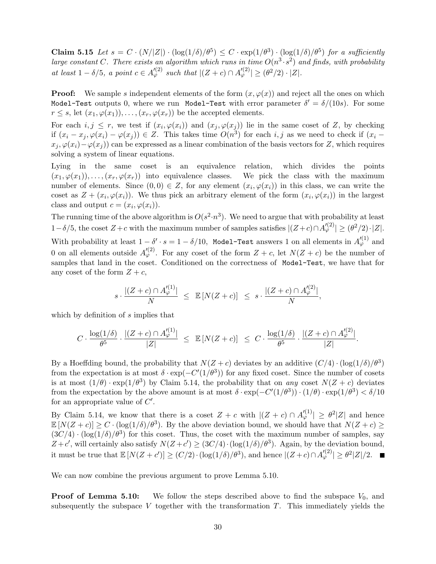**Claim 5.15** Let  $s = C \cdot (N/|Z|) \cdot (\log(1/\delta)/\theta^5) \leq C \cdot \exp(1/\theta^3) \cdot (\log(1/\delta)/\theta^5)$  for a sufficiently large constant C. There exists an algorithm which runs in time  $O(n^3 \cdot s^2)$  and finds, with probability at least  $1 - \delta/5$ , a point  $c \in A_{\varphi}^{(\ell)}$  such that  $|(Z + c) \cap A_{\varphi}^{(\ell)}| \geq (\theta^2/2) \cdot |Z|$ .

**Proof:** We sample s independent elements of the form  $(x, \varphi(x))$  and reject all the ones on which Model-Test outputs 0, where we run Model-Test with error parameter  $\delta' = \delta/(10s)$ . For some  $r \leq s$ , let  $(x_1, \varphi(x_1)), \ldots, (x_r, \varphi(x_r))$  be the accepted elements.

For each  $i, j \leq r$ , we test if  $(x_i, \varphi(x_i))$  and  $(x_j, \varphi(x_j))$  lie in the same coset of Z, by checking if  $(x_i - x_j, \varphi(x_i) - \varphi(x_j)) \in Z$ . This takes time  $O(n^3)$  for each  $i, j$  as we need to check if  $(x_i - x_j, \varphi(x_i))$  $x_j, \varphi(x_i) - \varphi(x_j)$  can be expressed as a linear combination of the basis vectors for Z, which requires solving a system of linear equations.

Lying in the same coset is an equivalence relation, which divides the points  $(x_1, \varphi(x_1)), \ldots, (x_r, \varphi(x_r))$  into equivalence classes. We pick the class with the maximum number of elements. Since  $(0,0) \in Z$ , for any element  $(x_i, \varphi(x_i))$  in this class, we can write the coset as  $Z + (x_i, \varphi(x_i))$ . We thus pick an arbitrary element of the form  $(x_i, \varphi(x_i))$  in the largest class and output  $c = (x_i, \varphi(x_i)).$ 

The running time of the above algorithm is  $O(s^2 \cdot n^3)$ . We need to argue that with probability at least  $1-\delta/5$ , the coset  $Z+c$  with the maximum number of samples satisfies  $|(Z+c)\cap A_{\varphi}^{\prime(2)}| \geq (\theta^2/2)\cdot |Z|.$ With probability at least  $1-\delta'\cdot s=1-\delta/10$ , Model-Test answers 1 on all elements in  $A_\varphi^{\prime(1)}$  and 0 on all elements outside  $A_{\varphi}^{\prime(2)}$ . For any coset of the form  $Z+c$ , let  $N(Z+c)$  be the number of samples that land in the coset. Conditioned on the correctness of Model-Test, we have that for any coset of the form  $Z + c$ ,

$$
s \cdot \frac{|(Z+c) \cap A_{\varphi}^{\prime(1)}|}{N} \leq \mathbb{E}\left[N(Z+c)\right] \leq s \cdot \frac{|(Z+c) \cap A_{\varphi}^{\prime(2)}|}{N},
$$

which by definition of s implies that

$$
C \cdot \frac{\log(1/\delta)}{\theta^5} \cdot \frac{|(Z+c) \cap A_{\varphi}^{\prime(1)}|}{|Z|} \leq \mathbb{E} \left[ N(Z+c) \right] \leq C \cdot \frac{\log(1/\delta)}{\theta^5} \cdot \frac{|(Z+c) \cap A_{\varphi}^{\prime(2)}|}{|Z|}.
$$

By a Hoeffding bound, the probability that  $N(Z + c)$  deviates by an additive  $(C/4) \cdot (\log(1/\delta)/\theta^3)$ from the expectation is at most  $\delta \cdot \exp(-C'(1/\theta^3))$  for any fixed coset. Since the number of cosets is at most  $(1/\theta) \cdot \exp(1/\theta^3)$  by Claim 5.14, the probability that on any coset  $N(Z + c)$  deviates from the expectation by the above amount is at most  $\delta \cdot \exp(-C'(1/\theta^3)) \cdot (1/\theta) \cdot \exp(1/\theta^3) < \delta/10$ for an appropriate value of  $C'$ .

By Claim 5.14, we know that there is a coset  $Z + c$  with  $|(Z + c) \cap A_{\varphi}^{\prime(1)}| \geq \theta^2 |Z|$  and hence  $\mathbb{E}[N(Z+c)] \geq C \cdot (\log(1/\delta)/\theta^3)$ . By the above deviation bound, we should have that  $N(Z+c)$  $(3C/4) \cdot (\log(1/\delta)/\theta^3)$  for this coset. Thus, the coset with the maximum number of samples, say  $Z+c'$ , will certainly also satisfy  $N(Z+c') \geq (3C/4) \cdot (\log(1/\delta)/\theta^3)$ . Again, by the deviation bound, it must be true that  $\mathbb{E}[N(Z+c')] \ge (C/2) \cdot (\log(1/\delta)/\theta^3)$ , and hence  $|(Z+c) \cap A_{\varphi}^{\prime(2)}| \ge \theta^2 |Z|/2$ .

We can now combine the previous argument to prove Lemma 5.10.

**Proof of Lemma 5.10:** We follow the steps described above to find the subspace  $V_0$ , and subsequently the subspace V together with the transformation  $T$ . This immediately yields the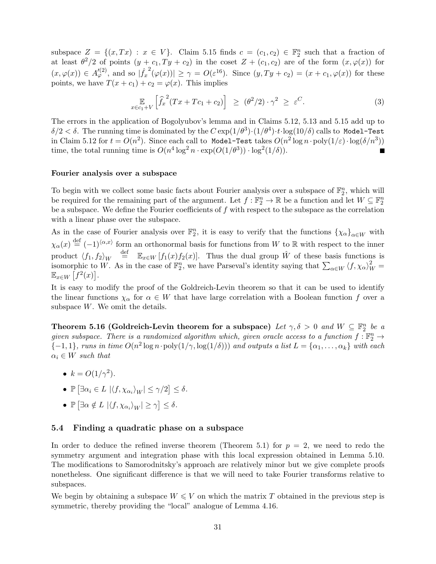subspace  $Z = \{(x, Tx) : x \in V\}$ . Claim 5.15 finds  $c = (c_1, c_2) \in \mathbb{F}_2^n$  such that a fraction of at least  $\theta^2/2$  of points  $(y + c_1, Ty + c_2)$  in the coset  $Z + (c_1, c_2)$  are of the form  $(x, \varphi(x))$  for  $(x,\varphi(x)) \in A_{\varphi}^{(2)}$ , and so  $|\hat{f}_x^2(\varphi(x))| \ge \gamma = O(\varepsilon^{16})$ . Since  $(y,Ty+c_2) = (x+c_1,\varphi(x))$  for these points, we have  $T(x + c_1) + c_2 = \varphi(x)$ . This implies

$$
\mathbb{E}_{x \in c_1 + V} \left[ \hat{f}_x^2 (Tx + Tc_1 + c_2) \right] \geq (\theta^2/2) \cdot \gamma^2 \geq \varepsilon^C. \tag{3}
$$

The errors in the application of Bogolyubov's lemma and in Claims 5.12, 5.13 and 5.15 add up to  $\delta/2<\delta.$  The running time is dominated by the  $C\exp(1/\theta^3)\cdot(1/\theta^4)\cdot t\cdot\log(10/\delta)$  calls to <code>Model-Test</code> in Claim 5.12 for  $t = O(n^2)$ . Since each call to Model-Test takes  $O(n^2 \log n \cdot \text{poly}(1/\varepsilon) \cdot \log(\delta/n^3))$ time, the total running time is  $O(n^4 \log^2 n \cdot \exp(O(1/\theta^3)) \cdot \log^2(1/\delta)).$ 

#### Fourier analysis over a subspace

To begin with we collect some basic facts about Fourier analysis over a subspace of  $\mathbb{F}_2^n$ , which will be required for the remaining part of the argument. Let  $f : \mathbb{F}_2^n \to \mathbb{R}$  be a function and let  $W \subseteq \mathbb{F}_2^n$ be a subspace. We define the Fourier coefficients of  $f$  with respect to the subspace as the correlation with a linear phase over the subspace.

As in the case of Fourier analysis over  $\mathbb{F}_2^n$ , it is easy to verify that the functions  $\{\chi_\alpha\}_{\alpha\in W}$  with  $\chi_{\alpha}(x) \stackrel{\text{def}}{=} (-1)^{\langle \alpha, x \rangle}$  form an orthonormal basis for functions from W to R with respect to the inner product  $\langle f_1, f_2 \rangle_W \stackrel{\text{def}}{=} \mathbb{E}_{x \in W} [f_1(x) f_2(x)]$ . Thus the dual group  $\hat{W}$  of these basis functions is isomorphic to W. As in the case of  $\mathbb{F}_2^n$ , we have Parseval's identity saying that  $\sum_{\alpha\in W} \langle f, \chi_\alpha\rangle_W^2 =$  $\mathbb{E}_{x \in W} \left[ f^2(x) \right].$ 

It is easy to modify the proof of the Goldreich-Levin theorem so that it can be used to identify the linear functions  $\chi_{\alpha}$  for  $\alpha \in W$  that have large correlation with a Boolean function f over a subspace  $W$ . We omit the details.

Theorem 5.16 (Goldreich-Levin theorem for a subspace) Let  $\gamma, \delta > 0$  and  $W \subseteq \mathbb{F}_2^n$  be a given subspace. There is a randomized algorithm which, given oracle access to a function  $f: \mathbb{F}_2^n \to$  ${-1,1}$ , runs in time  $O(n^2 \log n \cdot \text{poly}(1/\gamma, \log(1/\delta)))$  and outputs a list  $L = {\alpha_1, \ldots, \alpha_k}$  with each  $\alpha_i \in W$  such that

- $k = O(1/\gamma^2)$ .
- $\mathbb{P}\left[\exists \alpha_i \in L \mid \langle f, \chi_{\alpha_i} \rangle_W \right] \leq \gamma/2\right] \leq \delta.$
- $\mathbb{P}\left[\exists \alpha \notin L \mid \langle f, \chi_{\alpha_i} \rangle_W \vert \geq \gamma\right] \leq \delta.$

### 5.4 Finding a quadratic phase on a subspace

In order to deduce the refined inverse theorem (Theorem 5.1) for  $p = 2$ , we need to redo the symmetry argument and integration phase with this local expression obtained in Lemma 5.10. The modifications to Samorodnitsky's approach are relatively minor but we give complete proofs nonetheless. One significant difference is that we will need to take Fourier transforms relative to subspaces.

We begin by obtaining a subspace  $W \leqslant V$  on which the matrix T obtained in the previous step is symmetric, thereby providing the "local" analogue of Lemma 4.16.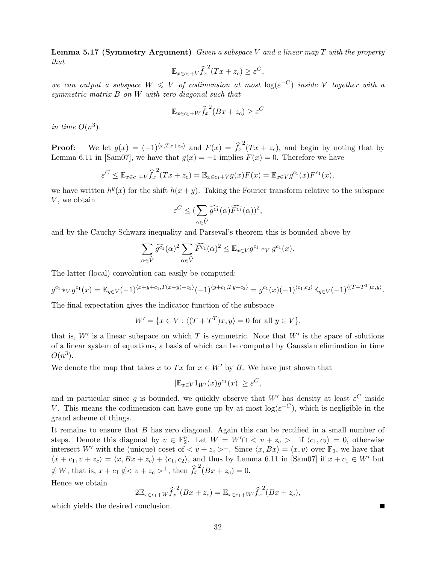**Lemma 5.17 (Symmetry Argument)** Given a subspace V and a linear map T with the property that

$$
\mathbb{E}_{x \in c_1 + V} \hat{f_x}^2(Tx + z_c) \ge \varepsilon^C,
$$

we can output a subspace  $W \leqslant V$  of codimension at most  $\log(\varepsilon^{-C})$  inside V together with a symmetric matrix B on W with zero diagonal such that

$$
\mathbb{E}_{x \in c_1 + W} \hat{f_x}^2(Bx + z_c) \ge \varepsilon^C
$$

in time  $O(n^3)$ .

**Proof:** We let  $g(x) = (-1)^{\langle x, Tx+z_c \rangle}$  and  $F(x) = \hat{f_x}^2(Tx + z_c)$ , and begin by noting that by Lemma 6.11 in [Sam07], we have that  $g(x) = -1$  implies  $F(x) = 0$ . Therefore we have

$$
\varepsilon^C \leq \mathbb{E}_{x \in c_1 + V} \hat{f}_x^2(Tx + z_c) = \mathbb{E}_{x \in c_1 + V} g(x) F(x) = \mathbb{E}_{x \in V} g^{c_1}(x) F^{c_1}(x),
$$

we have written  $h^y(x)$  for the shift  $h(x+y)$ . Taking the Fourier transform relative to the subspace  $V$ , we obtain

$$
\varepsilon^C \leq \big(\sum_{\alpha \in \widehat{V}} \widehat{g^{c_1}}(\alpha) \widehat{F^{c_1}}(\alpha)\big)^2,
$$

and by the Cauchy-Schwarz inequality and Parseval's theorem this is bounded above by

$$
\sum_{\alpha \in \widehat{V}} \widehat{g^{c_1}}(\alpha)^2 \sum_{\alpha \in \widehat{V}} \widehat{F^{c_1}}(\alpha)^2 \leq \mathbb{E}_{x \in V} g^{c_1} *_{V} g^{c_1}(x).
$$

The latter (local) convolution can easily be computed:

$$
g^{c_1} *_{V} g^{c_1}(x) = \mathbb{E}_{y \in V}(-1)^{\langle x+y+c_1, T(x+y)+c_2 \rangle}(-1)^{\langle y+c_1, Ty+c_2 \rangle} = g^{c_1}(x)(-1)^{\langle c_1, c_2 \rangle} \mathbb{E}_{y \in V}(-1)^{\langle (T+T^T)x, y \rangle}.
$$

The final expectation gives the indicator function of the subspace

$$
W' = \{ x \in V : \langle (T + T^T)x, y \rangle = 0 \text{ for all } y \in V \},
$$

that is,  $W'$  is a linear subspace on which T is symmetric. Note that  $W'$  is the space of solutions of a linear system of equations, a basis of which can be computed by Gaussian elimination in time  $O(n^3)$ .

We denote the map that takes x to Tx for  $x \in W'$  by B. We have just shown that

$$
|\mathbb{E}_{x \in V} 1_{W'}(x) g^{c_1}(x)| \ge \varepsilon^C,
$$

and in particular since g is bounded, we quickly observe that W' has density at least  $\varepsilon^C$  inside V. This means the codimension can have gone up by at most  $log(\varepsilon^{-C})$ , which is negligible in the grand scheme of things.

It remains to ensure that B has zero diagonal. Again this can be rectified in a small number of steps. Denote this diagonal by  $v \in \mathbb{F}_2^n$ . Let  $W = W' \cap \langle v + z_c \rangle = \text{if } \langle c_1, c_2 \rangle = 0$ , otherwise intersect W' with the (unique) coset of  $\langle v + z_c \rangle^{\perp}$ . Since  $\langle x, Bx \rangle = \langle x, v \rangle$  over  $\mathbb{F}_2$ , we have that  $\langle x + c_1, v + z_c \rangle = \langle x, Bx + z_c \rangle + \langle c_1, c_2 \rangle$ , and thus by Lemma 6.11 in [Sam07] if  $x + c_1 \in W'$  but ∉ *W*, that is,  $x + c_1 \notin < v + z_c >^{\perp}$ , then  $\hat{f}_x^2(Bx + z_c) = 0$ .

Hence we obtain

$$
2\mathbb{E}_{x\in c_1+W}\hat{f_x}^2(Bx+z_c)=\mathbb{E}_{x\in c_1+W'}\hat{f_x}^2(Bx+z_c),
$$

П

which yields the desired conclusion.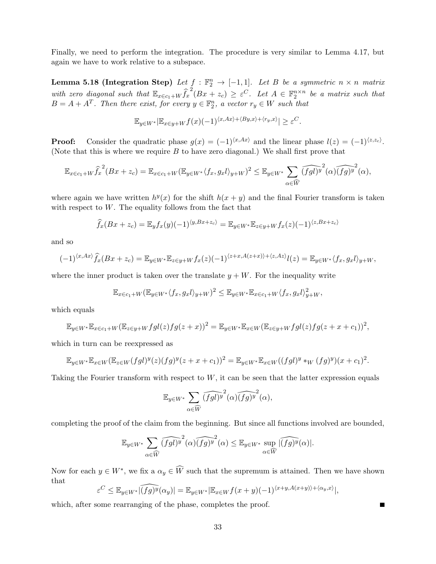Finally, we need to perform the integration. The procedure is very similar to Lemma 4.17, but again we have to work relative to a subspace.

Lemma 5.18 (Integration Step) Let  $f : \mathbb{F}_2^n \to [-1,1]$ . Let B be a symmetric  $n \times n$  matrix with zero diagonal such that  $\mathbb{E}_{x \in c_1 + W} \hat{f_x}^2(Bx + z_c) \geq \varepsilon^C$ . Let  $A \in \mathbb{F}_2^{n \times n}$  be a matrix such that  $B = A + A^T$ . Then there exist, for every  $y \in \mathbb{F}_2^n$ , a vector  $r_y \in W$  such that

$$
\mathbb{E}_{y \in W^*} |\mathbb{E}_{x \in y + W} f(x)(-1)^{\langle x, Ax \rangle + \langle By, x \rangle + \langle r_y, x \rangle} | \ge \varepsilon^C.
$$

**Proof:** Consider the quadratic phase  $g(x) = (-1)^{\langle x, Ax \rangle}$  and the linear phase  $l(z) = (-1)^{\langle z, z_c \rangle}$ . (Note that this is where we require  $B$  to have zero diagonal.) We shall first prove that

$$
\mathbb{E}_{x \in c_1 + W} \widehat{f_x}^2(Bx + z_c) = \mathbb{E}_{x \in c_1 + W} (\mathbb{E}_{y \in W^*} \langle f_x, g_x l \rangle_{y+W})^2 \leq \mathbb{E}_{y \in W^*} \sum_{\alpha \in \widehat{W}} \widehat{(fgl)^y}^2(\alpha) \widehat{(fg)^y}^2(\alpha),
$$

where again we have written  $h^y(x)$  for the shift  $h(x + y)$  and the final Fourier transform is taken with respect to  $W$ . The equality follows from the fact that

$$
\widehat{f}_x(Bx+z_c) = \mathbb{E}_y f_x(y)(-1)^{\langle y, Bx+z_c \rangle} = \mathbb{E}_{y \in W^*} \mathbb{E}_{z \in y + W} f_x(z)(-1)^{\langle z, Bx+z_c \rangle}
$$

and so

$$
(-1)^{\langle x, Ax \rangle} \widehat{f}_x(Bx + z_c) = \mathbb{E}_{y \in W^*} \mathbb{E}_{z \in y + W} f_x(z) (-1)^{\langle z + x, A(z+x) \rangle + \langle z, Az \rangle} l(z) = \mathbb{E}_{y \in W^*} \langle f_x, g_x \rangle_{y + W},
$$

where the inner product is taken over the translate  $y + W$ . For the inequality write

$$
\mathbb{E}_{x \in c_1 + W} (\mathbb{E}_{y \in W^*} \langle f_x, g_x l \rangle_{y+W})^2 \leq \mathbb{E}_{y \in W^*} \mathbb{E}_{x \in c_1 + W} \langle f_x, g_x l \rangle_{y+W}^2,
$$

which equals

$$
\mathbb{E}_{y\in W^*}\mathbb{E}_{x\in c_1+W}(\mathbb{E}_{z\in y+W}fgl(z)fg(z+x))^2=\mathbb{E}_{y\in W^*}\mathbb{E}_{x\in W}(\mathbb{E}_{z\in y+W}fgl(z)fg(z+x+c_1))^2,
$$

which in turn can be reexpressed as

$$
\mathbb{E}_{y \in W^*} \mathbb{E}_{x \in W} (\mathbb{E}_{z \in W} (fgl)^y(z)(fg)^y(z+x+c_1))^2 = \mathbb{E}_{y \in W^*} \mathbb{E}_{x \in W} ((fgl)^y *_{W} (fg)^y)(x+c_1)^2.
$$

Taking the Fourier transform with respect to  $W$ , it can be seen that the latter expression equals

$$
\mathbb{E}_{y \in W^*} \sum_{\alpha \in \widehat{W}} \widehat{(fgl)^y}^2(\alpha) \widehat{(fg)^y}^2(\alpha),
$$

completing the proof of the claim from the beginning. But since all functions involved are bounded,

$$
\mathbb{E}_{y \in W^*} \sum_{\alpha \in \widehat{W}} \widehat{(fgl)^y}^2(\alpha) \widehat{(fg)^y}^2(\alpha) \leq \mathbb{E}_{y \in W^*} \sup_{\alpha \in \widehat{W}} \widehat{|(fg)^y}(\alpha)|.
$$

Now for each  $y \in W^*$ , we fix a  $\alpha_y \in \widehat{W}$  such that the supremum is attained. Then we have shown that ε

$$
C \leq \mathbb{E}_{y \in W^*} | \widehat{(fg)^y} (\alpha_y) | = \mathbb{E}_{y \in W^*} | \mathbb{E}_{x \in W} f(x+y)(-1)^{\langle x+y, A(x+y) \rangle + \langle \alpha_y, x \rangle} |,
$$

Г

which, after some rearranging of the phase, completes the proof.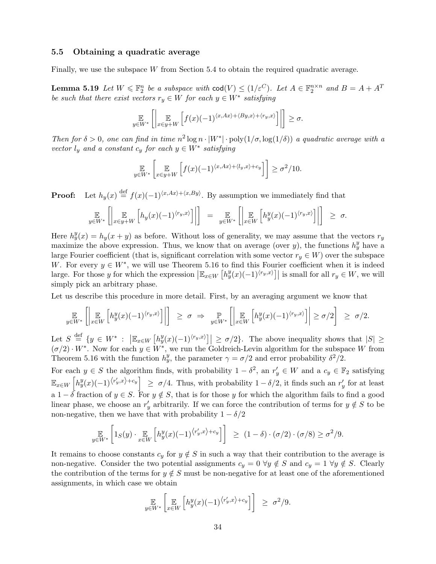### 5.5 Obtaining a quadratic average

Finally, we use the subspace W from Section 5.4 to obtain the required quadratic average.

**Lemma 5.19** Let  $W \leq \mathbb{F}_2^n$  be a subspace with  $\text{cod}(V) \leq (1/\varepsilon^C)$ . Let  $A \in \mathbb{F}_2^{n \times n}$  and  $B = A + A^T$ be such that there exist vectors  $r_y \in W$  for each  $y \in W^*$  satisfying

$$
\mathop{\mathbb{E}}_{y \in W^*} \left[ \left| \mathop{\mathbb{E}}_{x \in y + W} \left[ f(x) (-1)^{\langle x, Ax \rangle + \langle By, x \rangle + \langle r_y, x \rangle} \right] \right| \right] \ge \sigma.
$$

Then for  $\delta > 0$ , one can find in time  $n^2 \log n \cdot |W^*| \cdot \text{poly}(1/\sigma, \log(1/\delta))$  a quadratic average with a vector  $l_y$  and a constant  $c_y$  for each  $y \in W^*$  satisfying

$$
\mathbb{E}_{y \in W^*} \left[ \mathbb{E}_{x \in y + W} \left[ f(x) (-1)^{\langle x, Ax \rangle + \langle l_y, x \rangle + c_y} \right] \right] \geq \sigma^2 / 10.
$$

**Proof:** Let  $h_y(x) \stackrel{\text{def}}{=} f(x)(-1)^{\langle x, Ax \rangle + \langle x, By \rangle}$ . By assumption we immediately find that

$$
\mathop{\mathbb{E}}_{y \in W^*} \left[ \left| \mathop{\mathbb{E}}_{x \in y + W} \left[ h_y(x) (-1)^{\langle r_y, x \rangle} \right] \right| \right] = \mathop{\mathbb{E}}_{y \in W^*} \left[ \left| \mathop{\mathbb{E}}_{x \in W} \left[ h_y^y(x) (-1)^{\langle r_y, x \rangle} \right] \right| \right] \geq \sigma.
$$

Here  $h_y^y(x) = h_y(x + y)$  as before. Without loss of generality, we may assume that the vectors  $r_y$ maximize the above expression. Thus, we know that on average (over y), the functions  $h_y^y$  have a large Fourier coefficient (that is, significant correlation with some vector  $r_y \in W$ ) over the subspace W. For every  $y \in W^*$ , we will use Theorem 5.16 to find this Fourier coefficient when it is indeed large. For those y for which the expression  $\left|\mathbb{E}_{x\in W}\left[h_{y}^{y}(x)(-1)^{\langle r_{y},x\rangle}\right]\right|$  is small for all  $r_{y}\in W$ , we will simply pick an arbitrary phase.

Let us describe this procedure in more detail. First, by an averaging argument we know that

$$
\mathop{\mathbb{E}}_{y \in W^*} \left[ \left| \mathop{\mathbb{E}}_{x \in W} \left[ h_y^y(x) (-1)^{\langle r_y, x \rangle} \right] \right| \right] \geq \sigma \implies \mathop{\mathbb{P}}_{y \in W^*} \left[ \left| \mathop{\mathbb{E}}_{x \in W} \left[ h_y^y(x) (-1)^{\langle r_y, x \rangle} \right] \right| \geq \sigma/2 \right] \geq \sigma/2.
$$

Let  $S \stackrel{\text{def}}{=} \{y \in W^* : \left| \mathbb{E}_{x \in W} \left[ h_y^y(x) (-1)^{\langle r_y, x \rangle} \right] \right| \geq \sigma/2 \}$ . The above inequality shows that  $|S| \geq$  $(\sigma/2) \cdot W^*$ . Now for each  $y \in W^*$ , we run the Goldreich-Levin algorithm for the subspace W from Theorem 5.16 with the function  $h_y^y$ , the parameter  $\gamma = \sigma/2$  and error probability  $\delta^2/2$ .

For each  $y \in S$  the algorithm finds, with probability  $1 - \delta^2$ , an  $r'_y \in W$  and a  $c_y \in \mathbb{F}_2$  satisfying  $\mathbb{E}_{x\in W}\left[h_y^y(x)(-1)^{\langle r'_y,x\rangle+c_y}\right] \geq \sigma/4$ . Thus, with probability  $1-\delta/2$ , it finds such an  $r'_y$  for at least a  $1 - \delta$  fraction of  $y \in S$ . For  $y \notin S$ , that is for those y for which the algorithm fails to find a good linear phase, we choose an  $r'_y$  arbitrarily. If we can force the contribution of terms for  $y \notin S$  to be non-negative, then we have that with probability  $1 - \delta/2$ 

$$
\mathop{\mathbb{E}}_{y \in W^*} \left[1_S(y) \cdot \mathop{\mathbb{E}}_{x \in W} \left[h_y^y(x)(-1)^{\langle r'_y, x \rangle + c_y} \right] \right] \ge (1 - \delta) \cdot (\sigma/2) \cdot (\sigma/8) \ge \sigma^2/9.
$$

It remains to choose constants  $c_y$  for  $y \notin S$  in such a way that their contribution to the average is non-negative. Consider the two potential assignments  $c_y = 0 \ \forall y \notin S$  and  $c_y = 1 \ \forall y \notin S$ . Clearly the contribution of the terms for  $y \notin S$  must be non-negative for at least one of the aforementioned assignments, in which case we obtain

$$
\mathbb{E}_{y \in W^*} \left[ \mathbb{E}_{x \in W} \left[ h_y^y(x) (-1)^{\langle r'_y, x \rangle + c_y} \right] \right] \geq \sigma^2/9.
$$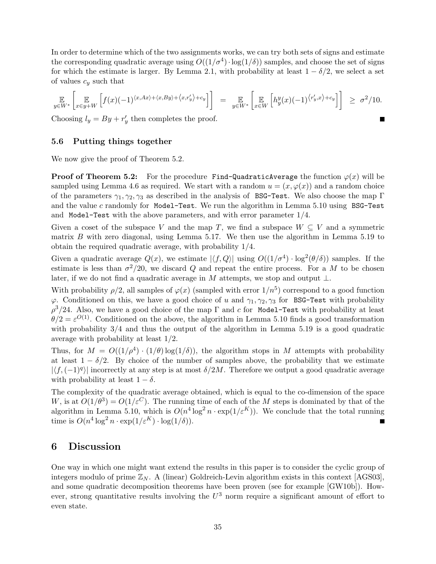In order to determine which of the two assignments works, we can try both sets of signs and estimate the corresponding quadratic average using  $O((1/\sigma^4) \cdot \log(1/\delta))$  samples, and choose the set of signs for which the estimate is larger. By Lemma 2.1, with probability at least  $1 - \delta/2$ , we select a set of values  $c_y$  such that

$$
\mathop{\mathbb{E}}_{y \in W^*} \left[ \mathop{\mathbb{E}}_{x \in y + W} \left[ f(x) (-1)^{\langle x, Ax \rangle + \langle x, By \rangle + \langle x, r'_y \rangle + c_y} \right] \right] = \mathop{\mathbb{E}}_{y \in W^*} \left[ \mathop{\mathbb{E}}_{x \in W} \left[ h_y^y(x) (-1)^{\langle r'_y, x \rangle + c_y} \right] \right] \geq \sigma^2 / 10.
$$

П

Choosing  $l_y = By + r'_y$  then completes the proof.

### 5.6 Putting things together

We now give the proof of Theorem 5.2.

**Proof of Theorem 5.2:** For the procedure Find-QuadraticAverage the function  $\varphi(x)$  will be sampled using Lemma 4.6 as required. We start with a random  $u = (x, \varphi(x))$  and a random choice of the parameters  $\gamma_1, \gamma_2, \gamma_3$  as described in the analysis of BSG-Test. We also choose the map Γ and the value c randomly for Model-Test. We run the algorithm in Lemma 5.10 using BSG-Test and Model-Test with the above parameters, and with error parameter  $1/4$ .

Given a coset of the subspace V and the map T, we find a subspace  $W \subseteq V$  and a symmetric matrix  $B$  with zero diagonal, using Lemma 5.17. We then use the algorithm in Lemma 5.19 to obtain the required quadratic average, with probability 1/4.

Given a quadratic average  $Q(x)$ , we estimate  $|\langle f, Q \rangle|$  using  $O((1/\sigma^4) \cdot \log^2(\theta/\delta))$  samples. If the estimate is less than  $\sigma^2/20$ , we discard Q and repeat the entire process. For a M to be chosen later, if we do not find a quadratic average in M attempts, we stop and output  $\bot$ .

With probability  $\rho/2$ , all samples of  $\varphi(x)$  (sampled with error  $1/n^5$ ) correspond to a good function  $\varphi$ . Conditioned on this, we have a good choice of u and  $\gamma_1, \gamma_2, \gamma_3$  for BSG-Test with probability  $\rho^3/24$ . Also, we have a good choice of the map  $\Gamma$  and c for Model-Test with probability at least  $\theta/2 = \varepsilon^{O(1)}$ . Conditioned on the above, the algorithm in Lemma 5.10 finds a good transformation with probability  $3/4$  and thus the output of the algorithm in Lemma 5.19 is a good quadratic average with probability at least 1/2.

Thus, for  $M = O((1/\rho^4) \cdot (1/\theta) \log(1/\delta))$ , the algorithm stops in M attempts with probability at least  $1 - \delta/2$ . By choice of the number of samples above, the probability that we estimate  $|\langle f,(-1)^q \rangle|$  incorrectly at any step is at most  $\delta/2M$ . Therefore we output a good quadratic average with probability at least  $1 - \delta$ .

The complexity of the quadratic average obtained, which is equal to the co-dimension of the space W, is at  $O(1/\theta^3) = O(1/\varepsilon^C)$ . The running time of each of the M steps is dominated by that of the algorithm in Lemma 5.10, which is  $O(n^4 \log^2 n \cdot \exp(1/\varepsilon^K))$ . We conclude that the total running time is  $O(n^4 \log^2 n \cdot \exp(1/\varepsilon^{K}) \cdot \log(1/\delta)).$ Г

## 6 Discussion

One way in which one might want extend the results in this paper is to consider the cyclic group of integers modulo of prime  $\mathbb{Z}_N$ . A (linear) Goldreich-Levin algorithm exists in this context [AGS03], and some quadratic decomposition theorems have been proven (see for example [GW10b]). However, strong quantitative results involving the  $U^3$  norm require a significant amount of effort to even state.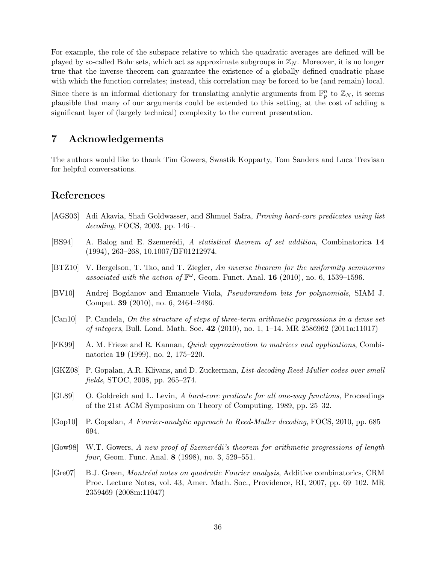For example, the role of the subspace relative to which the quadratic averages are defined will be played by so-called Bohr sets, which act as approximate subgroups in  $\mathbb{Z}_N$ . Moreover, it is no longer true that the inverse theorem can guarantee the existence of a globally defined quadratic phase with which the function correlates; instead, this correlation may be forced to be (and remain) local.

Since there is an informal dictionary for translating analytic arguments from  $\mathbb{F}_p^n$  to  $\mathbb{Z}_N$ , it seems plausible that many of our arguments could be extended to this setting, at the cost of adding a significant layer of (largely technical) complexity to the current presentation.

# 7 Acknowledgements

The authors would like to thank Tim Gowers, Swastik Kopparty, Tom Sanders and Luca Trevisan for helpful conversations.

# References

- [AGS03] Adi Akavia, Shafi Goldwasser, and Shmuel Safra, Proving hard-core predicates using list decoding, FOCS, 2003, pp. 146–.
- [BS94] A. Balog and E. Szemerédi, A statistical theorem of set addition, Combinatorica 14 (1994), 263–268, 10.1007/BF01212974.
- [BTZ10] V. Bergelson, T. Tao, and T. Ziegler, An inverse theorem for the uniformity seminorms associated with the action of  $\mathbb{F}^{\omega}$ , Geom. Funct. Anal. 16 (2010), no. 6, 1539-1596.
- [BV10] Andrej Bogdanov and Emanuele Viola, Pseudorandom bits for polynomials, SIAM J. Comput. 39 (2010), no. 6, 2464–2486.
- [Can10] P. Candela, On the structure of steps of three-term arithmetic progressions in a dense set of integers, Bull. Lond. Math. Soc. 42 (2010), no. 1, 1–14. MR 2586962 (2011a:11017)
- [FK99] A. M. Frieze and R. Kannan, Quick approximation to matrices and applications, Combinatorica 19 (1999), no. 2, 175–220.
- [GKZ08] P. Gopalan, A.R. Klivans, and D. Zuckerman, List-decoding Reed-Muller codes over small fields, STOC, 2008, pp. 265–274.
- [GL89] O. Goldreich and L. Levin, A hard-core predicate for all one-way functions, Proceedings of the 21st ACM Symposium on Theory of Computing, 1989, pp. 25–32.
- [Gop10] P. Gopalan, A Fourier-analytic approach to Reed-Muller decoding, FOCS, 2010, pp. 685– 694.
- [Gow98] W.T. Gowers, A new proof of Szemerédi's theorem for arithmetic progressions of length four, Geom. Func. Anal. 8 (1998), no. 3, 529–551.
- [Gre07] B.J. Green, *Montréal notes on quadratic Fourier analysis*, Additive combinatorics, CRM Proc. Lecture Notes, vol. 43, Amer. Math. Soc., Providence, RI, 2007, pp. 69–102. MR 2359469 (2008m:11047)